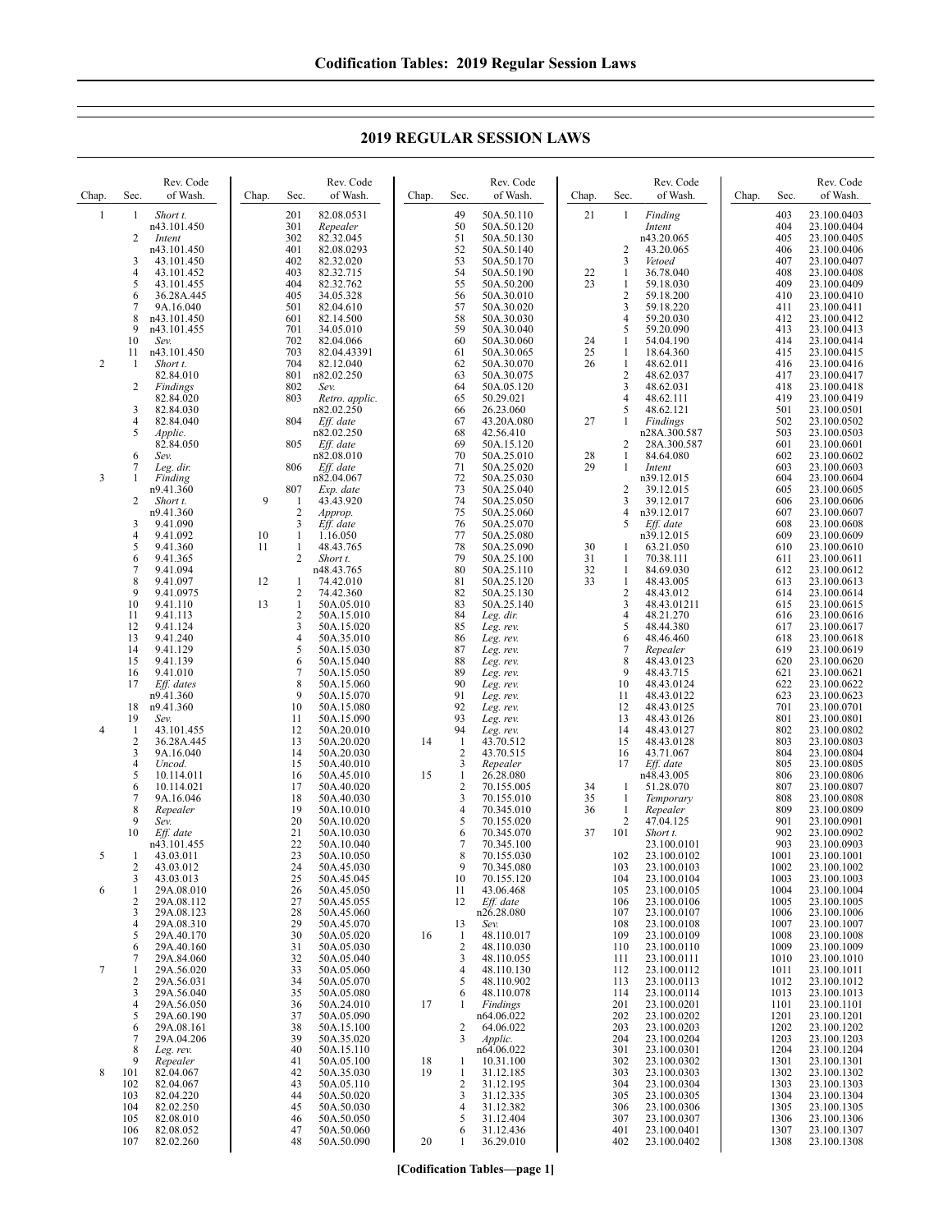| Chap.            | Sec.                          | Rev. Code<br>of Wash.             | Chap.    | Sec.                | Rev. Code<br>of Wash.               | Chap. | Sec.                    | Rev. Code<br>of Wash.                  | Chap.    | Sec.                         | Rev. Code<br>of Wash.           | Chap. | Sec.              | Rev. Code<br>of Wash.                     |
|------------------|-------------------------------|-----------------------------------|----------|---------------------|-------------------------------------|-------|-------------------------|----------------------------------------|----------|------------------------------|---------------------------------|-------|-------------------|-------------------------------------------|
| $\mathbf{1}$     | 1<br>2                        | Short t.<br>n43.101.450<br>Intent |          | 201<br>301<br>302   | 82.08.0531<br>Repealer<br>82.32.045 |       | 49<br>50<br>51          | 50A.50.110<br>50A.50.120<br>50A.50.130 | 21       | 1                            | Finding<br>Intent<br>n43.20.065 |       | 403<br>404<br>405 | 23.100.0403<br>23.100.0404<br>23.100.0405 |
|                  |                               | n43.101.450                       |          | 401                 | 82.08.0293                          |       | 52                      | 50A.50.140                             |          | $\overline{2}$               | 43.20.065                       |       | 406               | 23.100.0406                               |
|                  | 3<br>$\overline{4}$           | 43.101.450<br>43.101.452          |          | 402<br>403          | 82.32.020<br>82.32.715              |       | 53<br>54                | 50A.50.170<br>50A.50.190               | 22       | 3<br>-1                      | Vetoed<br>36.78.040             |       | 407<br>408        | 23.100.0407<br>23.100.0408                |
|                  | 5                             | 43.101.455                        |          | 404                 | 82.32.762                           |       | 55                      | 50A.50.200                             | 23       | 1                            | 59.18.030                       |       | 409               | 23.100.0409                               |
|                  | 6                             | 36.28A.445                        |          | 405                 | 34.05.328                           |       | 56                      | 50A.30.010                             |          | $\overline{2}$               | 59.18.200                       |       | 410               | 23.100.0410                               |
|                  | 7<br>8                        | 9A.16.040<br>n43.101.450          |          | 501<br>601          | 82.04.610<br>82.14.500              |       | 57<br>58                | 50A.30.020<br>50A.30.030               |          | 3<br>$\overline{4}$          | 59.18.220<br>59.20.030          |       | 411<br>412        | 23.100.0411<br>23.100.0412                |
|                  | 9                             | n43.101.455                       |          | 701                 | 34.05.010                           |       | 59                      | 50A.30.040                             |          | 5                            | 59.20.090                       |       | 413               | 23.100.0413                               |
|                  | 10                            | Sev.                              |          | 702                 | 82.04.066                           |       | 60                      | 50A.30.060                             | 24       | -1                           | 54.04.190                       |       | 414               | 23.100.0414                               |
| $\overline{2}$   | 11<br>1                       | n43.101.450<br>Short t.           |          | 703<br>704          | 82.04.43391<br>82.12.040            |       | 61<br>62                | 50A.30.065<br>50A.30.070               | 25<br>26 | -1<br>1                      | 18.64.360<br>48.62.011          |       | 415<br>416        | 23.100.0415<br>23.100.0416                |
|                  |                               | 82.84.010                         |          | 801                 | n82.02.250                          |       | 63                      | 50A.30.075                             |          | $\overline{2}$               | 48.62.037                       |       | 417               | 23.100.0417                               |
|                  | 2                             | Findings<br>82.84.020             |          | 802<br>803          | Sev.<br>Retro. applic.              |       | 64<br>65                | 50A.05.120<br>50.29.021                |          | 3<br>$\overline{4}$          | 48.62.031<br>48.62.111          |       | 418<br>419        | 23.100.0418<br>23.100.0419                |
|                  | 3                             | 82.84.030                         |          |                     | n82.02.250                          |       | 66                      | 26.23.060                              |          | 5                            | 48.62.121                       |       | 501               | 23.100.0501                               |
|                  | $\overline{4}$<br>5           | 82.84.040<br>Applic.              |          | 804                 | Eff. date<br>n82.02.250             |       | 67<br>68                | 43.20A.080<br>42.56.410                | 27       | 1                            | Findings<br>n28A.300.587        |       | 502<br>503        | 23.100.0502<br>23.100.0503                |
|                  |                               | 82.84.050                         |          | 805                 | Eff. date                           |       | 69                      | 50A.15.120                             |          | $\overline{c}$               | 28A.300.587                     |       | 601               | 23.100.0601                               |
|                  | 6<br>$\tau$                   | Sev.                              |          |                     | n82.08.010<br>Eff. date             |       | 70                      | 50A.25.010<br>50A.25.020               | 28<br>29 | $\mathbf{1}$<br>1            | 84.64.080                       |       | 602               | 23.100.0602                               |
| 3                | 1                             | Leg. dir.<br>Finding              |          | 806                 | n82.04.067                          |       | 71<br>72                | 50A.25.030                             |          |                              | Intent<br>n39.12.015            |       | 603<br>604        | 23.100.0603<br>23.100.0604                |
|                  |                               | n9.41.360                         |          | 807                 | Exp. date                           |       | 73                      | 50A.25.040                             |          | $\overline{c}$               | 39.12.015                       |       | 605               | 23.100.0605                               |
|                  | 2                             | Short t.<br>n9.41.360             | 9        | 1<br>$\overline{2}$ | 43.43.920<br>Approp.                |       | 74<br>75                | 50A.25.050<br>50A.25.060               |          | 3<br>$\overline{4}$          | 39.12.017<br>n39.12.017         |       | 606<br>607        | 23.100.0606<br>23.100.0607                |
|                  | 3                             | 9.41.090                          |          | 3                   | Eff. date                           |       | 76                      | 50A.25.070                             |          | 5                            | Eff. date                       |       | 608               | 23.100.0608                               |
|                  | 4<br>5                        | 9.41.092<br>9.41.360              | 10<br>11 | 1<br>$\mathbf{1}$   | 1.16.050<br>48.43.765               |       | 77<br>78                | 50A.25.080<br>50A.25.090               | 30       | -1                           | n39.12.015<br>63.21.050         |       | 609<br>610        | 23.100.0609<br>23.100.0610                |
|                  | 6                             | 9.41.365                          |          | 2                   | Short t.                            |       | 79                      | 50A.25.100                             | 31       | $\mathbf{1}$                 | 70.38.111                       |       | 611               | 23.100.0611                               |
|                  | $\tau$<br>$\,$ 8 $\,$         | 9.41.094                          |          |                     | n48.43.765                          |       | 80<br>81                | 50A.25.110                             | 32<br>33 | 1<br>$\mathbf{1}$            | 84.69.030                       |       | 612               | 23.100.0612                               |
|                  | 9                             | 9.41.097<br>9.41.0975             | 12       | 1<br>$\overline{c}$ | 74.42.010<br>74.42.360              |       | 82                      | 50A.25.120<br>50A.25.130               |          | $\sqrt{2}$                   | 48.43.005<br>48.43.012          |       | 613<br>614        | 23.100.0613<br>23.100.0614                |
|                  | 10                            | 9.41.110                          | 13       | $\mathbf{1}$        | 50A.05.010                          |       | 83                      | 50A.25.140                             |          | $\mathfrak{Z}$               | 48.43.01211                     |       | 615               | 23.100.0615                               |
|                  | 11<br>12                      | 9.41.113<br>9.41.124              |          | $\overline{c}$<br>3 | 50A.15.010<br>50A.15.020            |       | 84<br>85                | Leg. dir.<br>Leg. rev.                 |          | $\overline{4}$<br>5          | 48.21.270<br>48.44.380          |       | 616<br>617        | 23.100.0616<br>23.100.0617                |
|                  | 13                            | 9.41.240                          |          | 4                   | 50A.35.010                          |       | 86                      | Leg. rev.                              |          | 6                            | 48.46.460                       |       | 618               | 23.100.0618                               |
|                  | 14<br>15                      | 9.41.129<br>9.41.139              |          | 5<br>6              | 50A.15.030<br>50A.15.040            |       | 87<br>88                | Leg. rev.<br>Leg. rev.                 |          | 7<br>8                       | Repealer<br>48.43.0123          |       | 619<br>620        | 23.100.0619<br>23.100.0620                |
|                  | 16                            | 9.41.010                          |          | 7                   | 50A.15.050                          |       | 89                      | Leg. rev.                              |          | 9                            | 48.43.715                       |       | 621               | 23.100.0621                               |
|                  | 17                            | Eff. dates<br>n9.41.360           |          | 8<br>9              | 50A.15.060<br>50A.15.070            |       | 90<br>91                | Leg. rev.<br>Leg. rev.                 |          | 10<br>11                     | 48.43.0124<br>48.43.0122        |       | 622<br>623        | 23.100.0622<br>23.100.0623                |
|                  | 18                            | n9.41.360                         |          | 10                  | 50A.15.080                          |       | 92                      | Leg. rev.                              |          | 12                           | 48.43.0125                      |       | 701               | 23.100.0701                               |
| $\overline{4}$   | 19                            | Sev.                              |          | 11<br>12            | 50A.15.090                          |       | 93<br>94                | Leg. rev.                              |          | 13<br>14                     | 48.43.0126                      |       | 801<br>802        | 23.100.0801<br>23.100.0802                |
|                  | 1<br>$\overline{2}$           | 43.101.455<br>36.28A.445          |          | 13                  | 50A.20.010<br>50A.20.020            | 14    | -1                      | Leg. rev.<br>43.70.512                 |          | 15                           | 48.43.0127<br>48.43.0128        |       | 803               | 23.100.0803                               |
|                  | 3                             | 9A.16.040                         |          | 14                  | 50A.20.030                          |       | 2                       | 43.70.515                              |          | 16                           | 43.71.067                       |       | 804               | 23.100.0804                               |
|                  | $\overline{4}$<br>5           | Uncod.<br>10.114.011              |          | 15<br>16            | 50A.40.010<br>50A.45.010            | 15    | 3<br>$\mathbf{1}$       | Repealer<br>26.28.080                  |          | 17                           | Eff. date<br>n48.43.005         |       | 805<br>806        | 23.100.0805<br>23.100.0806                |
|                  | 6                             | 10.114.021                        |          | 17                  | 50A.40.020                          |       | $\overline{\mathbf{c}}$ | 70.155.005                             | 34       | -1                           | 51.28.070                       |       | 807               | 23.100.0807                               |
|                  | $\overline{7}$<br>$\,$ 8 $\,$ | 9A.16.046<br>Repealer             |          | 18<br>19            | 50A.40.030<br>50A.10.010            |       | 3<br>4                  | 70.155.010<br>70.345.010               | 35<br>36 | $\mathbf{1}$<br>$\mathbf{1}$ | Temporary<br>Repealer           |       | 808<br>809        | 23.100.0808<br>23.100.0809                |
|                  | 9                             | Sev.                              |          | 20                  | 50A.10.020                          |       | 5                       | 70.155.020                             |          | $\overline{2}$               | 47.04.125                       |       | 901               | 23.100.0901                               |
|                  | 10                            | Eff. date<br>n43.101.455          |          | 21<br>22            | 50A.10.030<br>50A.10.040            |       | 6<br>7                  | 70.345.070<br>70.345.100               | 37       | 101                          | Short t.<br>23.100.0101         |       | 902<br>903        | 23.100.0902<br>23.100.0903                |
| 5                | 1                             | 43.03.011                         |          | 23                  | 50A.10.050                          |       | 8                       | 70.155.030                             |          | 102                          | 23.100.0102                     |       | 1001              | 23.100.1001                               |
|                  | $\overline{c}$<br>3           | 43.03.012<br>43.03.013            |          | 24<br>25            | 50A.45.030<br>50A.45.045            |       | 9<br>10                 | 70.345.080<br>70.155.120               |          | 103<br>104                   | 23.100.0103<br>23.100.0104      |       | 1002<br>1003      | 23.100.1002<br>23.100.1003                |
| 6                | 1                             | 29A.08.010                        |          | 26                  | 50A.45.050                          |       | 11                      | 43.06.468                              |          | 105                          | 23.100.0105                     |       | 1004              | 23.100.1004                               |
|                  | $\overline{2}$<br>3           | 29A.08.112<br>29A.08.123          |          | 27<br>28            | 50A.45.055<br>50A.45.060            |       | 12                      | Eff. date<br>n26.28.080                |          | 106<br>107                   | 23.100.0106<br>23.100.0107      |       | 1005<br>1006      | 23.100.1005<br>23.100.1006                |
|                  | $\overline{4}$                | 29A.08.310                        |          | 29                  | 50A.45.070                          |       | 13                      | Sev.                                   |          | 108                          | 23.100.0108                     |       | 1007              | 23.100.1007                               |
|                  | 5                             | 29A.40.170<br>29A.40.160          |          | 30<br>31            | 50A.05.020                          | 16    | -1<br>2                 | 48.110.017                             |          | 109                          | 23.100.0109                     |       | 1008<br>1009      | 23.100.1008                               |
|                  | 6<br>7                        | 29A.84.060                        |          | 32                  | 50A.05.030<br>50A.05.040            |       | 3                       | 48.110.030<br>48.110.055               |          | 110<br>111                   | 23.100.0110<br>23.100.0111      |       | 1010              | 23.100.1009<br>23.100.1010                |
| $\boldsymbol{7}$ | 1                             | 29A.56.020                        |          | 33                  | 50A.05.060                          |       | 4                       | 48.110.130<br>48.110.902               |          | 112                          | 23.100.0112                     |       | 1011              | 23.100.1011                               |
|                  | $\overline{2}$<br>3           | 29A.56.031<br>29A.56.040          |          | 34<br>35            | 50A.05.070<br>50A.05.080            |       | 5<br>6                  | 48.110.078                             |          | 113<br>114                   | 23.100.0113<br>23.100.0114      |       | 1012<br>1013      | 23.100.1012<br>23.100.1013                |
|                  | $\overline{4}$                | 29A.56.050                        |          | 36                  | 50A.24.010                          | 17    | 1                       | Findings                               |          | 201                          | 23.100.0201                     |       | 1101              | 23.100.1101                               |
|                  | 5<br>6                        | 29A.60.190<br>29A.08.161          |          | 37<br>38            | 50A.05.090<br>50A.15.100            |       | 2                       | n64.06.022<br>64.06.022                |          | 202<br>203                   | 23.100.0202<br>23.100.0203      |       | 1201<br>1202      | 23.100.1201<br>23.100.1202                |
|                  | 7                             | 29A.04.206                        |          | 39                  | 50A.35.020                          |       | 3                       | Applic.                                |          | 204                          | 23.100.0204                     |       | 1203              | 23.100.1203                               |
|                  | 8<br>9                        | Leg. rev.<br>Repealer             |          | 40<br>41            | 50A.15.110<br>50A.05.100            | 18    | 1                       | n64.06.022<br>10.31.100                |          | 301<br>302                   | 23.100.0301<br>23.100.0302      |       | 1204<br>1301      | 23.100.1204<br>23.100.1301                |
| 8                | 101                           | 82.04.067                         |          | 42                  | 50A.35.030                          | 19    | $\mathbf{1}$            | 31.12.185                              |          | 303                          | 23.100.0303                     |       | 1302              | 23.100.1302                               |
|                  | 102<br>103                    | 82.04.067<br>82.04.220            |          | 43<br>44            | 50A.05.110<br>50A.50.020            |       | 2<br>3                  | 31.12.195<br>31.12.335                 |          | 304<br>305                   | 23.100.0304<br>23.100.0305      |       | 1303<br>1304      | 23.100.1303<br>23.100.1304                |
|                  | 104                           | 82.02.250                         |          | 45                  | 50A.50.030                          |       | 4                       | 31.12.382                              |          | 306                          | 23.100.0306                     |       | 1305              | 23.100.1305                               |
|                  | 105<br>106                    | 82.08.010<br>82.08.052            |          | 46<br>47            | 50A.50.050<br>50A.50.060            |       | 5<br>6                  | 31.12.404<br>31.12.436                 |          | 307<br>401                   | 23.100.0307<br>23.100.0401      |       | 1306<br>1307      | 23.100.1306<br>23.100.1307                |
|                  | 107                           | 82.02.260                         |          | 48                  | 50A.50.090                          | 20    |                         | 36.29.010                              |          | 402                          | 23.100.0402                     |       | 1308              | 23.100.1308                               |

## **2019 REGULAR SESSION LAWS**

**[Codification Tables—page 1]**

 $\overline{\phantom{a}}$ 

 $\overline{\phantom{a}}$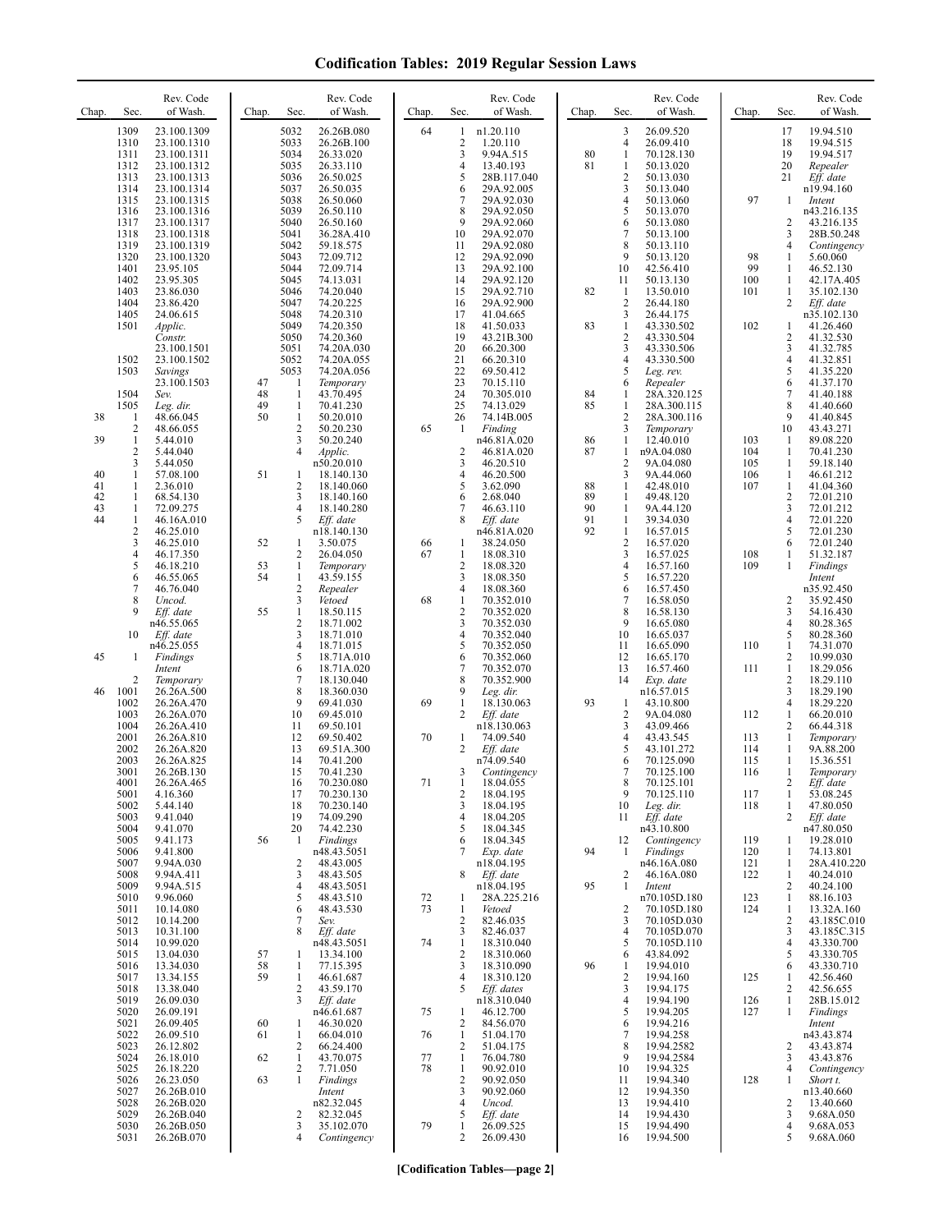| Chap.                      | Sec.                                                     | Rev. Code<br>of Wash.                                                                  | Chap.          | Sec.                                                  | Rev. Code<br>of Wash.                                                        | Chap.    | Sec.                                                     | Rev. Code<br>of Wash.                                                        | Chap.                | Sec.                                                           | Rev. Code<br>of Wash.                                                       | Chap.                    | Sec.                                        | Rev. Code<br>of Wash.                                                      |
|----------------------------|----------------------------------------------------------|----------------------------------------------------------------------------------------|----------------|-------------------------------------------------------|------------------------------------------------------------------------------|----------|----------------------------------------------------------|------------------------------------------------------------------------------|----------------------|----------------------------------------------------------------|-----------------------------------------------------------------------------|--------------------------|---------------------------------------------|----------------------------------------------------------------------------|
|                            | 1309<br>1310<br>1311<br>1312<br>1313<br>1314             | 23.100.1309<br>23.100.1310<br>23.100.1311<br>23.100.1312<br>23.100.1313<br>23.100.1314 |                | 5032<br>5033<br>5034<br>5035<br>5036<br>5037          | 26.26B.080<br>26.26B.100<br>26.33.020<br>26.33.110<br>26.50.025<br>26.50.035 | 64       | 1<br>$\overline{2}$<br>3<br>4<br>5<br>6                  | n1.20.110<br>1.20.110<br>9.94A.515<br>13.40.193<br>28B.117.040<br>29A.92.005 | 80<br>81             | 3<br>$\overline{4}$<br>1<br>1<br>$\overline{c}$<br>3           | 26.09.520<br>26.09.410<br>70.128.130<br>50.13.020<br>50.13.030<br>50.13.040 |                          | 17<br>18<br>19<br>20<br>21                  | 19.94.510<br>19.94.515<br>19.94.517<br>Repealer<br>Eff. date<br>n19.94.160 |
|                            | 1315<br>1316<br>1317<br>1318<br>1319                     | 23.100.1315<br>23.100.1316<br>23.100.1317<br>23.100.1318<br>23.100.1319                |                | 5038<br>5039<br>5040<br>5041<br>5042                  | 26.50.060<br>26.50.110<br>26.50.160<br>36.28A.410<br>59.18.575               |          | 7<br>8<br>9<br>10<br>11                                  | 29A.92.030<br>29A.92.050<br>29A.92.060<br>29A.92.070<br>29A.92.080           |                      | $\overline{4}$<br>5<br>6<br>7<br>8                             | 50.13.060<br>50.13.070<br>50.13.080<br>50.13.100<br>50.13.110               | 97                       | 1<br>2<br>3<br>4                            | Intent<br>n43.216.135<br>43.216.135<br>28B.50.248<br>Contingency           |
|                            | 1320<br>1401<br>1402<br>1403<br>1404                     | 23.100.1320<br>23.95.105<br>23.95.305<br>23.86.030                                     |                | 5043<br>5044<br>5045<br>5046<br>5047                  | 72.09.712<br>72.09.714<br>74.13.031<br>74.20.040                             |          | 12<br>13<br>14<br>15                                     | 29A.92.090<br>29A.92.100<br>29A.92.120<br>29A.92.710                         | 82                   | 9<br>10<br>11<br>1<br>$\overline{2}$                           | 50.13.120<br>42.56.410<br>50.13.130<br>13.50.010                            | 98<br>99<br>100<br>101   | 1<br>1<br>1<br>1<br>2                       | 5.60.060<br>46.52.130<br>42.17A.405<br>35.102.130                          |
|                            | 1405<br>1501                                             | 23.86.420<br>24.06.615<br>Applic.<br>Constr.<br>23.100.1501                            |                | 5048<br>5049<br>5050<br>5051                          | 74.20.225<br>74.20.310<br>74.20.350<br>74.20.360<br>74.20A.030               |          | 16<br>17<br>18<br>19<br>20                               | 29A.92.900<br>41.04.665<br>41.50.033<br>43.21B.300<br>66.20.300              | 83                   | 3<br>$\mathbf{1}$<br>$\overline{2}$<br>3                       | 26.44.180<br>26.44.175<br>43.330.502<br>43.330.504<br>43.330.506            | 102                      | 1<br>2<br>3                                 | Eff. date<br>n35.102.130<br>41.26.460<br>41.32.530<br>41.32.785            |
|                            | 1502<br>1503<br>1504<br>1505                             | 23.100.1502<br>Savings<br>23.100.1503<br>Sev.<br>Leg. dir.                             | 47<br>48<br>49 | 5052<br>5053<br>-1<br>1<br>1                          | 74.20A.055<br>74.20A.056<br>Temporary<br>43.70.495<br>70.41.230              |          | 21<br>22<br>23<br>24<br>25                               | 66.20.310<br>69.50.412<br>70.15.110<br>70.305.010<br>74.13.029               | 84<br>85             | $\overline{4}$<br>5<br>6<br>-1<br>1                            | 43.330.500<br>Leg. rev.<br>Repealer<br>28A.320.125<br>28A.300.115           |                          | 4<br>5<br>6<br>7<br>8                       | 41.32.851<br>41.35.220<br>41.37.170<br>41.40.188<br>41.40.660              |
| 38<br>39                   | 1<br>$\overline{c}$<br>1<br>$\overline{\mathbf{c}}$<br>3 | 48.66.045<br>48.66.055<br>5.44.010<br>5.44.040<br>5.44.050                             | 50             | $\mathbf{1}$<br>$\overline{c}$<br>3<br>$\overline{4}$ | 50.20.010<br>50.20.230<br>50.20.240<br>Applic.<br>n50.20.010                 | 65       | 26<br>1<br>$\overline{c}$<br>3                           | 74.14B.005<br>Finding<br>n46.81A.020<br>46.81A.020<br>46.20.510              | 86<br>87             | $\overline{2}$<br>3<br>1<br>1<br>$\overline{2}$                | 28A.300.116<br>Temporary<br>12.40.010<br>n9A.04.080<br>9A.04.080            | 103<br>104<br>105        | 9<br>10<br>1<br>1<br>1                      | 41.40.845<br>43.43.271<br>89.08.220<br>70.41.230<br>59.18.140              |
| 40<br>41<br>42<br>43<br>44 | 1<br>1<br>1<br>1<br>1                                    | 57.08.100<br>2.36.010<br>68.54.130<br>72.09.275<br>46.16A.010                          | 51             | -1<br>2<br>3<br>4<br>5                                | 18.140.130<br>18.140.060<br>18.140.160<br>18.140.280<br>Eff. date            |          | 4<br>5<br>6<br>7<br>8                                    | 46.20.500<br>3.62.090<br>2.68.040<br>46.63.110<br>Eff. date                  | 88<br>89<br>90<br>91 | 3<br>$\mathbf{1}$<br>1<br>1<br>1                               | 9A.44.060<br>42.48.010<br>49.48.120<br>9A.44.120<br>39.34.030               | 106<br>107               | 1<br>1<br>$\mathbf{2}$<br>3<br>4            | 46.61.212<br>41.04.360<br>72.01.210<br>72.01.212<br>72.01.220              |
|                            | $\overline{\mathbf{c}}$<br>3<br>4<br>5<br>6              | 46.25.010<br>46.25.010<br>46.17.350<br>46.18.210<br>46.55.065                          | 52<br>53<br>54 | 1<br>2<br>1<br>$\mathbf{1}$                           | n18.140.130<br>3.50.075<br>26.04.050<br>Temporary<br>43.59.155               | 66<br>67 | 1<br>$\mathbf{1}$<br>$\overline{c}$<br>3                 | n46.81A.020<br>38.24.050<br>18.08.310<br>18.08.320<br>18.08.350              | 92                   | $\mathbf{1}$<br>$\overline{2}$<br>3<br>$\overline{4}$<br>5     | 16.57.015<br>16.57.020<br>16.57.025<br>16.57.160<br>16.57.220               | 108<br>109               | 5<br>6<br>1<br>1                            | 72.01.230<br>72.01.240<br>51.32.187<br>Findings<br>Intent                  |
|                            | 7<br>8<br>9<br>10                                        | 46.76.040<br>Uncod.<br>Eff. date<br>n46.55.065<br>Eff. date                            | 55             | 2<br>3<br>1<br>$\overline{c}$<br>3                    | Repealer<br>Vetoed<br>18.50.115<br>18.71.002<br>18.71.010                    | 68       | 4<br>1<br>$\overline{\mathbf{c}}$<br>3<br>4              | 18.08.360<br>70.352.010<br>70.352.020<br>70.352.030<br>70.352.040            |                      | 6<br>$\overline{7}$<br>8<br>9<br>10                            | 16.57.450<br>16.58.050<br>16.58.130<br>16.65.080<br>16.65.037               |                          | 2<br>3<br>4<br>5                            | n35.92.450<br>35.92.450<br>54.16.430<br>80.28.365<br>80.28.360             |
| 45<br>46                   | 1<br>$\overline{c}$<br>1001                              | n46.25.055<br><b>Findings</b><br>Intent<br>Temporary<br>26.26A.500                     |                | $\overline{4}$<br>5<br>6<br>7<br>8                    | 18.71.015<br>18.71A.010<br>18.71A.020<br>18.130.040<br>18.360.030            |          | 5<br>6<br>7<br>8<br>9                                    | 70.352.050<br>70.352.060<br>70.352.070<br>70.352.900<br>Leg. dir.            |                      | 11<br>12<br>13<br>14                                           | 16.65.090<br>16.65.170<br>16.57.460<br>Exp. date<br>n16.57.015              | 110<br>111               | $\mathbf{1}$<br>2<br>$\mathbf{1}$<br>2<br>3 | 74.31.070<br>10.99.030<br>18.29.056<br>18.29.110<br>18.29.190              |
|                            | 1002<br>1003<br>1004<br>2001<br>2002                     | 26.26A.470<br>26.26A.070<br>26.26A.410<br>26.26A.810<br>26.26A.820                     |                | 9<br>10<br>11<br>12<br>13                             | 69.41.030<br>69.45.010<br>69.50.101<br>69.50.402<br>69.51A.300               | 69<br>70 | $\mathbf{1}$<br>2<br>1<br>2                              | 18.130.063<br>Eff. date<br>n18.130.063<br>74.09.540<br>Eff. date             | 93                   | 1<br>$\overline{\mathbf{c}}$<br>3<br>$\overline{4}$<br>5       | 43.10.800<br>9A.04.080<br>43.09.466<br>43.43.545<br>43.101.272              | 112<br>113<br>114        | 4<br>1<br>$\overline{c}$<br>1<br>1          | 18.29.220<br>66.20.010<br>66.44.318<br>Temporary<br>9A.88.200              |
|                            | 2003<br>3001<br>4001<br>5001<br>5002                     | 26.26A.825<br>26.26B.130<br>26.26A.465<br>4.16.360<br>5.44.140                         |                | 14<br>15<br>16<br>17<br>18                            | 70.41.200<br>70.41.230<br>70.230.080<br>70.230.130<br>70.230.140             | 71       | 3<br>-1<br>2<br>3                                        | n74.09.540<br>Contingency<br>18.04.055<br>18.04.195<br>18.04.195             |                      | 6<br>$\overline{7}$<br>8<br>9<br>10                            | 70.125.090<br>70.125.100<br>70.125.101<br>70.125.110<br>Leg. dir.           | 115<br>116<br>117<br>118 | 1<br>1<br>2<br>1<br>$\mathbf{1}$            | 15.36.551<br>Temporary<br>Lff. date<br>53.08.245<br>47.80.050              |
|                            | 5003<br>5004<br>5005<br>5006<br>5007                     | 9.41.040<br>9.41.070<br>9.41.173<br>9.41.800<br>9.94A.030                              | 56             | 19<br>20<br>1<br>2                                    | 74.09.290<br>74.42.230<br><b>Findings</b><br>n48.43.5051<br>48.43.005        |          | 4<br>5<br>6<br>7                                         | 18.04.205<br>18.04.345<br>18.04.345<br>Exp. date<br>n18.04.195               | 94                   | 11<br>12<br>$\mathbf{1}$                                       | Eff. date<br>n43.10.800<br>Contingency<br>Findings<br>n46.16A.080           | 119<br>120<br>121        | 2<br>1<br>1<br>1                            | Eff. date<br>n47.80.050<br>19.28.010<br>74.13.801<br>28A.410.220           |
|                            | 5008<br>5009<br>5010<br>5011<br>5012                     | 9.94A.411<br>9.94A.515<br>9.96.060<br>10.14.080<br>10.14.200                           |                | 3<br>$\overline{4}$<br>5<br>6<br>7                    | 48.43.505<br>48.43.5051<br>48.43.510<br>48.43.530<br>Sev.                    | 72<br>73 | 8<br>1<br>$\mathbf{1}$<br>$\overline{c}$                 | Eff. date<br>n18.04.195<br>28A.225.216<br>Vetoed<br>82.46.035                | 95                   | $\overline{c}$<br>$\mathbf{1}$<br>$\overline{\mathbf{c}}$<br>3 | 46.16A.080<br>Intent<br>n70.105D.180<br>70.105D.180<br>70.105D.030          | 122<br>123<br>124        | 1<br>2<br>1<br>$\mathbf{1}$<br>2            | 40.24.010<br>40.24.100<br>88.16.103<br>13.32A.160<br>43.185C.010           |
|                            | 5013<br>5014<br>5015<br>5016<br>5017                     | 10.31.100<br>10.99.020<br>13.04.030<br>13.34.030<br>13.34.155                          | 57<br>58<br>59 | 8<br>1<br>1<br>$\mathbf{1}$                           | Eff. date<br>n48.43.5051<br>13.34.100<br>77.15.395<br>46.61.687              | 74       | 3<br>$\mathbf{1}$<br>$\overline{2}$<br>3<br>4            | 82.46.037<br>18.310.040<br>18.310.060<br>18.310.090<br>18.310.120            | 96                   | $\overline{4}$<br>5<br>6<br>1<br>$\overline{2}$                | 70.105D.070<br>70.105D.110<br>43.84.092<br>19.94.010<br>19.94.160           | 125                      | 3<br>4<br>5<br>6<br>1                       | 43.185C.315<br>43.330.700<br>43.330.705<br>43.330.710<br>42.56.460         |
|                            | 5018<br>5019<br>5020<br>5021<br>5022                     | 13.38.040<br>26.09.030<br>26.09.191<br>26.09.405<br>26.09.510                          | 60<br>61       | $\overline{c}$<br>3<br>1<br>$\mathbf{1}$              | 43.59.170<br>Eff. date<br>n46.61.687<br>46.30.020<br>66.04.010               | 75<br>76 | 5<br>1<br>2<br>$\mathbf{1}$                              | Eff. dates<br>n18.310.040<br>46.12.700<br>84.56.070<br>51.04.170             |                      | 3<br>4<br>5<br>6<br>7                                          | 19.94.175<br>19.94.190<br>19.94.205<br>19.94.216<br>19.94.258               | 126<br>127               | 2<br>$\mathbf{1}$<br>$\mathbf{1}$           | 42.56.655<br>28B.15.012<br><b>Findings</b><br>Intent<br>n43.43.874         |
|                            | 5023<br>5024<br>5025<br>5026<br>5027                     | 26.12.802<br>26.18.010<br>26.18.220<br>26.23.050<br>26.26B.010                         | 62<br>63       | 2<br>$\mathbf{1}$<br>$\overline{c}$<br>$\mathbf{1}$   | 66.24.400<br>43.70.075<br>7.71.050<br>Findings<br>Intent                     | 77<br>78 | 2<br>$\mathbf{1}$<br>$\mathbf{1}$<br>$\overline{2}$<br>3 | 51.04.175<br>76.04.780<br>90.92.010<br>90.92.050<br>90.92.060                |                      | 8<br>9<br>10<br>11<br>12                                       | 19.94.2582<br>19.94.2584<br>19.94.325<br>19.94.340<br>19.94.350             | 128                      | 2<br>3<br>4<br>1                            | 43.43.874<br>43.43.876<br>Contingency<br>Short t.<br>n13.40.660            |
|                            | 5028<br>5029<br>5030<br>5031                             | 26.26B.020<br>26.26B.040<br>26.26B.050<br>26.26B.070                                   |                | 2<br>3<br>$\overline{4}$                              | n82.32.045<br>82.32.045<br>35.102.070<br>Contingency                         | 79       | 4<br>5<br>$\mathbf{1}$<br>2                              | Uncod.<br>Eff. date<br>26.09.525<br>26.09.430                                |                      | 13<br>14<br>15<br>16                                           | 19.94.410<br>19.94.430<br>19.94.490<br>19.94.500                            |                          | 2<br>3<br>4<br>5                            | 13.40.660<br>9.68A.050<br>9.68A.053<br>9.68A.060                           |

**[Codification Tables—page 2]**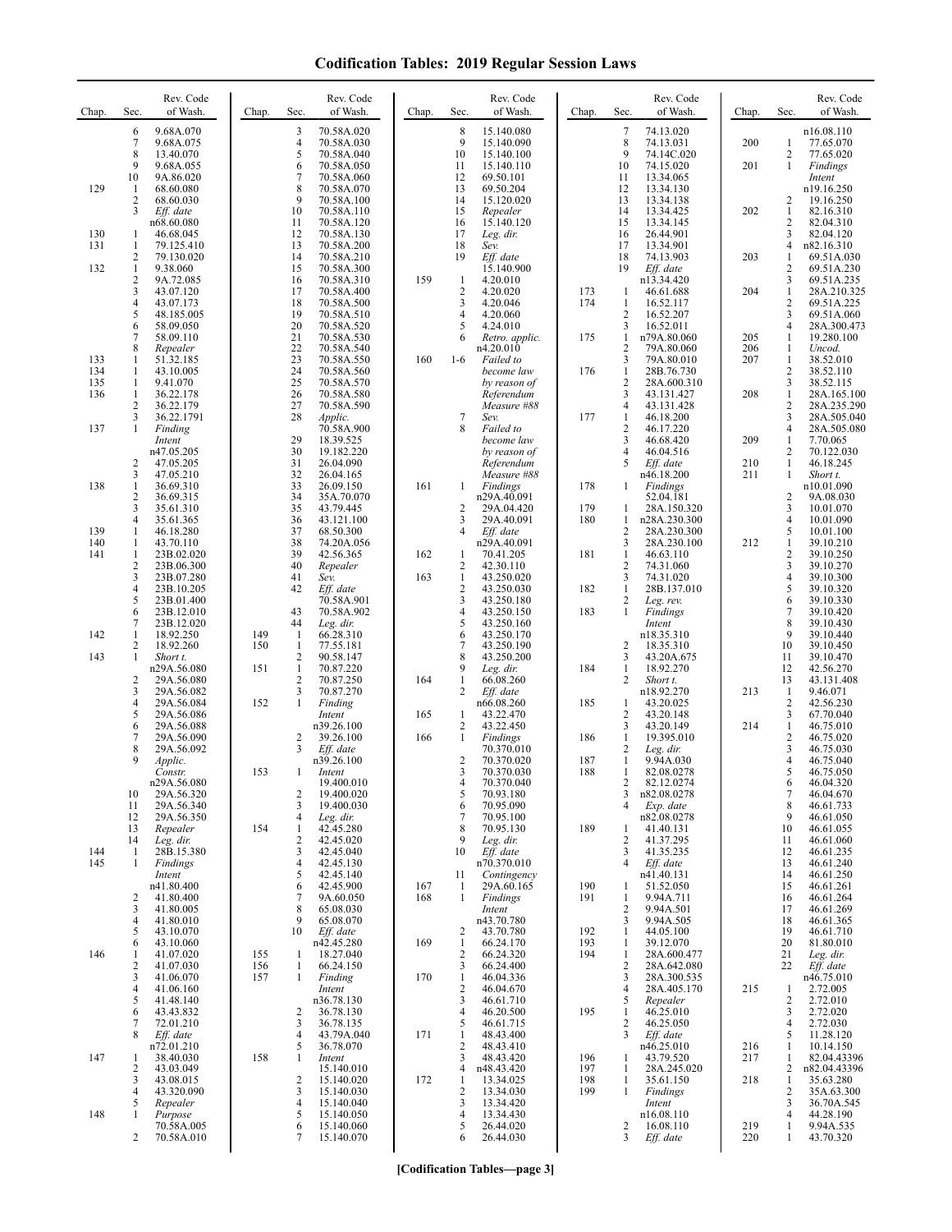| Chap.             | Sec.                                           | Rev. Code<br>of Wash.                  | Chap.      | Sec.                              | Rev. Code<br>of Wash.                  | Chap.      | Sec.                                | Rev. Code<br>of Wash.                    | Chap.      | Sec.                                  | Rev. Code<br>of Wash.                      | Chap.      | Sec.                                | Rev. Code<br>of Wash.                    |
|-------------------|------------------------------------------------|----------------------------------------|------------|-----------------------------------|----------------------------------------|------------|-------------------------------------|------------------------------------------|------------|---------------------------------------|--------------------------------------------|------------|-------------------------------------|------------------------------------------|
|                   | 6<br>7<br>8                                    | 9.68A.070<br>9.68A.075<br>13.40.070    |            | 3<br>$\overline{4}$<br>5          | 70.58A.020<br>70.58A.030<br>70.58A.040 |            | 8<br>9<br>10                        | 15.140.080<br>15.140.090<br>15.140.100   |            | 7<br>8<br>9                           | 74.13.020<br>74.13.031<br>74.14C.020       | 200        | 1<br>$\mathbf{2}$                   | n16.08.110<br>77.65.070<br>77.65.020     |
| 129               | 9<br>10<br>-1                                  | 9.68A.055<br>9A.86.020<br>68.60.080    |            | 6<br>7<br>8                       | 70.58A.050<br>70.58A.060<br>70.58A.070 |            | 11<br>12<br>13                      | 15.140.110<br>69.50.101<br>69.50.204     |            | 10<br>11<br>12                        | 74.15.020<br>13.34.065<br>13.34.130        | 201        | 1                                   | Findings<br>Intent<br>n19.16.250         |
|                   | 2<br>3                                         | 68.60.030<br>Eff. date<br>n68.60.080   |            | 9<br>10<br>11                     | 70.58A.100<br>70.58A.110<br>70.58A.120 |            | 14<br>15<br>16                      | 15.120.020<br>Repealer<br>15.140.120     |            | 13<br>14<br>15                        | 13.34.138<br>13.34.425<br>13.34.145        | 202        | 2<br>$\mathbf{1}$<br>$\overline{c}$ | 19.16.250<br>82.16.310<br>82.04.310      |
| 130<br>131        | -1<br>$\mathbf{1}$                             | 46.68.045<br>79.125.410                |            | 12<br>13                          | 70.58A.130<br>70.58A.200               |            | 17<br>18                            | Leg. dir.<br>Sev.                        |            | 16<br>17                              | 26.44.901<br>13.34.901                     |            | 3<br>$\overline{4}$                 | 82.04.120<br>n82.16.310                  |
| 132               | 2<br>$\mathbf{1}$<br>2                         | 79.130.020<br>9.38.060<br>9A.72.085    |            | 14<br>15<br>16                    | 70.58A.210<br>70.58A.300<br>70.58A.310 | 159        | 19<br>-1                            | Eff. date<br>15.140.900<br>4.20.010      |            | 18<br>19                              | 74.13.903<br>Eff. date<br>n13.34.420       | 203        | 1<br>$\overline{c}$<br>3            | 69.51A.030<br>69.51A.230<br>69.51A.235   |
|                   | 3<br>4                                         | 43.07.120<br>43.07.173                 |            | 17<br>18                          | 70.58A.400<br>70.58A.500               |            | $\overline{2}$<br>3                 | 4.20.020<br>4.20.046                     | 173<br>174 | 1<br>1                                | 46.61.688<br>16.52.117                     | 204        | $\mathbf{1}$<br>2                   | 28A.210.325<br>69.51A.225                |
|                   | 5<br>6<br>7                                    | 48.185.005<br>58.09.050<br>58.09.110   |            | 19<br>20<br>21                    | 70.58A.510<br>70.58A.520<br>70.58A.530 |            | 4<br>5<br>6                         | 4.20.060<br>4.24.010<br>Retro. applic.   | 175        | 2<br>3<br>1                           | 16.52.207<br>16.52.011<br>n79A.80.060      | 205        | 3<br>4<br>1                         | 69.51A.060<br>28A.300.473<br>19.280.100  |
| 133               | 8<br>1                                         | Repealer<br>51.32.185                  |            | 22<br>23                          | 70.58A.540<br>70.58A.550               | 160        | $1-6$                               | n4.20.010<br>Failed to                   |            | $\overline{2}$<br>3                   | 79A.80.060<br>79A.80.010                   | 206<br>207 | 1<br>1                              | Uncod.<br>38.52.010                      |
| 134<br>135<br>136 | $\mathbf{1}$<br>$\mathbf{1}$<br>1              | 43.10.005<br>9.41.070<br>36.22.178     |            | 24<br>25<br>26                    | 70.58A.560<br>70.58A.570<br>70.58A.580 |            |                                     | become law<br>by reason of<br>Referendum | 176        | 1<br>$\overline{\mathbf{c}}$<br>3     | 28B.76.730<br>28A.600.310<br>43.131.427    | 208        | $\overline{c}$<br>3<br>$\mathbf{1}$ | 38.52.110<br>38.52.115<br>28A.165.100    |
|                   | 2<br>3<br>1                                    | 36.22.179<br>36.22.1791                |            | 27<br>28                          | 70.58A.590<br>Applic.                  |            | 7<br>8                              | Measure #88<br>Sev.                      | 177        | $\overline{4}$<br>1<br>$\overline{c}$ | 43.131.428<br>46.18.200<br>46.17.220       |            | 2<br>3<br>4                         | 28A.235.290<br>28A.505.040               |
| 137               |                                                | Finding<br>Intent<br>n47.05.205        |            | 29<br>30                          | 70.58A.900<br>18.39.525<br>19.182.220  |            |                                     | Failed to<br>become law<br>by reason of  |            | 3<br>4                                | 46.68.420<br>46.04.516                     | 209        | 1<br>$\mathbf{2}$                   | 28A.505.080<br>7.70.065<br>70.122.030    |
| 138               | 2<br>3<br>1                                    | 47.05.205<br>47.05.210<br>36.69.310    |            | 31<br>32<br>33                    | 26.04.090<br>26.04.165<br>26.09.150    | 161        | 1                                   | Referendum<br>Measure #88<br>Findings    | 178        | 5<br>1                                | Eff. date<br>n46.18.200<br>Findings        | 210<br>211 | 1<br>1                              | 46.18.245<br>Short t.<br>n10.01.090      |
|                   | 2<br>3                                         | 36.69.315<br>35.61.310                 |            | 34<br>35                          | 35A.70.070<br>43.79.445                |            | 2                                   | n29A.40.091<br>29A.04.420                | 179        | 1                                     | 52.04.181<br>28A.150.320                   |            | 2<br>3                              | 9A.08.030<br>10.01.070                   |
| 139<br>140        | $\overline{4}$<br>$\mathbf{1}$<br>$\mathbf{1}$ | 35.61.365<br>46.18.280<br>43.70.110    |            | 36<br>37<br>38                    | 43.121.100<br>68.50.300<br>74.20A.056  |            | 3<br>$\overline{4}$                 | 29A.40.091<br>Eff. date<br>n29A.40.091   | 180        | 1<br>$\overline{c}$<br>3              | n28A.230.300<br>28A.230.300<br>28A.230.100 | 212        | 4<br>5<br>1                         | 10.01.090<br>10.01.100<br>39.10.210      |
| 141               | $\mathbf{1}$<br>2<br>3                         | 23B.02.020<br>23B.06.300<br>23B.07.280 |            | 39<br>40<br>41                    | 42.56.365<br>Repealer<br>Sev.          | 162<br>163 | 1<br>2<br>-1                        | 70.41.205<br>42.30.110<br>43.250.020     | 181        | 1<br>$\overline{c}$<br>3              | 46.63.110<br>74.31.060<br>74.31.020        |            | 2<br>3<br>$\overline{4}$            | 39.10.250<br>39.10.270<br>39.10.300      |
|                   | 4<br>5                                         | 23B.10.205<br>23B.01.400               |            | 42                                | Eff. date<br>70.58A.901                |            | $\overline{2}$<br>3                 | 43.250.030<br>43.250.180                 | 182        | 1<br>$\overline{\mathbf{c}}$          | 28B.137.010<br>Leg. rev.                   |            | 5<br>6                              | 39.10.320<br>39.10.330                   |
| 142               | 6<br>7<br>$\mathbf{1}$                         | 23B.12.010<br>23B.12.020<br>18.92.250  | 149        | 43<br>44<br>-1                    | 70.58A.902<br>Leg. dir.<br>66.28.310   |            | 4<br>5<br>6                         | 43.250.150<br>43.250.160<br>43.250.170   | 183        | 1                                     | Findings<br>Intent<br>n18.35.310           |            | 7<br>8<br>9                         | 39.10.420<br>39.10.430<br>39.10.440      |
| 143               | 2<br>1                                         | 18.92.260<br>Short t.<br>n29A.56.080   | 150<br>151 | $\mathbf{1}$<br>2<br>$\mathbf{1}$ | 77.55.181<br>90.58.147<br>70.87.220    |            | 7<br>8<br>9                         | 43.250.190<br>43.250.200<br>Leg. dir.    | 184        | $\overline{2}$<br>3<br>1              | 18.35.310<br>43.20A.675<br>18.92.270       |            | 10<br>11<br>12                      | 39.10.450<br>39.10.470<br>42.56.270      |
|                   | 2<br>3                                         | 29A.56.080<br>29A.56.082               |            | 2<br>3                            | 70.87.250<br>70.87.270                 | 164        | 1<br>2                              | 66.08.260<br>Eff. date                   |            | $\overline{2}$                        | Short t.<br>n18.92.270                     | 213        | 13<br>1                             | 43.131.408<br>9.46.071                   |
|                   | 4<br>5<br>6                                    | 29A.56.084<br>29A.56.086<br>29A.56.088 | 152        | $\mathbf{1}$                      | Finding<br>Intent<br>n39.26.100        | 165        | 1<br>$\overline{2}$                 | n66.08.260<br>43.22.470<br>43.22.450     | 185        | 1<br>2<br>3                           | 43.20.025<br>43.20.148<br>43.20.149        | 214        | $\overline{c}$<br>3<br>$\mathbf{1}$ | 42.56.230<br>67.70.040<br>46.75.010      |
|                   | 7<br>8<br>9                                    | 29A.56.090<br>29A.56.092               |            | 2<br>3                            | 39.26.100<br>Eff. date                 | 166        | 1                                   | Findings<br>70.370.010                   | 186        | 1<br>$\overline{c}$<br>$\mathbf{1}$   | 19.395.010<br>Leg. dir.                    |            | 2<br>3<br>4                         | 46.75.020<br>46.75.030                   |
|                   |                                                | Applic.<br>Constr.<br>n29A.56.080      | 153        | 1                                 | n39.26.100<br>Intent<br>19.400.010     |            | $\overline{2}$<br>3<br>4            | 70.370.020<br>70.370.030<br>70.370.040   | 187<br>188 | 1<br>2                                | 9.94A.030<br>82.08.0278<br>82.12.0274      |            | 5<br>$\theta$                       | 46.75.040<br>46.75.050<br>46.04.320      |
|                   | 10<br>11<br>12                                 | 29A.56.320<br>29A.56.340<br>29A.56.350 |            | 2<br>3<br>4                       | 19.400.020<br>19.400.030<br>Leg. dir.  |            | 5<br>6<br>7                         | 70.93.180<br>70.95.090<br>70.95.100      |            | 3<br>4                                | n82.08.0278<br>Exp. date<br>n82.08.0278    |            | $\tau$<br>8<br>9                    | 46.04.670<br>46.61.733<br>46.61.050      |
| 144               | 13<br>14<br>-1                                 | Repealer<br>Lee, dir.<br>28B.15.380    | 154        | 1<br>2<br>3                       | 42.45.280<br>42.45.020<br>42.45.040    |            | 8<br>9<br>10                        | 70.95.130<br>Leg. dir.<br>Eff. date      | 189        | 1<br>$\overline{c}$<br>3              | 41.40.131<br>41.37.295<br>41.35.235        |            | 10<br>11<br>12                      | 46.61.055<br>46.61.060<br>46.61.235      |
| 145               | 1                                              | Findings<br>Intent                     |            | 4<br>5                            | 42.45.130<br>42.45.140                 |            | 11                                  | n70.370.010<br>Contingency               |            | $\overline{4}$                        | Eff. date<br>n41.40.131                    |            | 13<br>14                            | 46.61.240<br>46.61.250                   |
|                   | 2<br>3                                         | n41.80.400<br>41.80.400<br>41.80.005   |            | 6<br>7<br>8                       | 42.45.900<br>9A.60.050<br>65.08.030    | 167<br>168 | $\mathbf{1}$<br>$\mathbf{1}$        | 29A.60.165<br>Findings<br>Intent         | 190<br>191 | -1<br>1<br>$\overline{c}$             | 51.52.050<br>9.94A.711<br>9.94A.501        |            | 15<br>16<br>17                      | 46.61.261<br>46.61.264<br>46.61.269      |
|                   | 4<br>5<br>6                                    | 41.80.010<br>43.10.070<br>43.10.060    |            | 9<br>10                           | 65.08.070<br>Eff. date<br>n42.45.280   | 169        | 2<br>-1                             | n43.70.780<br>43.70.780<br>66.24.170     | 192<br>193 | 3<br>1<br>1                           | 9.94A.505<br>44.05.100<br>39.12.070        |            | 18<br>19<br>20                      | 46.61.365<br>46.61.710<br>81.80.010      |
| 146               | 1<br>2                                         | 41.07.020<br>41.07.030                 | 155<br>156 | 1<br>$\mathbf{1}$                 | 18.27.040<br>66.24.150                 |            | $\overline{2}$<br>3                 | 66.24.320<br>66.24.400                   | 194        | 1<br>$\overline{c}$                   | 28A.600.477<br>28A.642.080                 |            | 21<br>22                            | Leg. dir.<br>Eff. date                   |
|                   | 3<br>4<br>5                                    | 41.06.070<br>41.06.160<br>41.48.140    | 157        | 1                                 | Finding<br>Intent<br>n36.78.130        | 170        | $\mathbf{1}$<br>$\overline{c}$<br>3 | 46.04.336<br>46.04.670<br>46.61.710      |            | 3<br>4<br>5                           | 28A.300.535<br>28A.405.170<br>Repealer     | 215        | 1<br>2                              | n46.75.010<br>2.72.005<br>2.72.010       |
|                   | 6<br>7<br>8                                    | 43.43.832<br>72.01.210<br>Eff. date    |            | 2<br>3<br>4                       | 36.78.130<br>36.78.135<br>43.79A.040   | 171        | $\overline{4}$<br>5<br>$\mathbf{1}$ | 46.20.500<br>46.61.715<br>48.43.400      | 195        | 1<br>2<br>3                           | 46.25.010<br>46.25.050<br>Eff. date        |            | 3<br>4<br>5                         | 2.72.020<br>2.72.030<br>11.28.120        |
| 147               | $\mathbf{1}$<br>2                              | n72.01.210<br>38.40.030<br>43.03.049   | 158        | 5<br>1                            | 36.78.070<br>Intent<br>15.140.010      |            | $\overline{2}$<br>3<br>4            | 48.43.410<br>48.43.420<br>n48.43.420     | 196<br>197 | 1<br>1                                | n46.25.010<br>43.79.520<br>28A.245.020     | 216<br>217 | 1<br>1<br>2                         | 10.14.150<br>82.04.43396<br>n82.04.43396 |
|                   | 3<br>4                                         | 43.08.015<br>43.320.090                |            | $\overline{c}$<br>3               | 15.140.020<br>15.140.030               | 172        | -1<br>$\overline{2}$                | 13.34.025<br>13.34.030                   | 198<br>199 | 1<br>1                                | 35.61.150<br>Findings                      | 218        | 1<br>$\mathbf{2}$                   | 35.63.280<br>35A.63.300                  |
| 148               | 5<br>1                                         | Repealer<br>Purpose<br>70.58A.005      |            | 4<br>5<br>6                       | 15.140.040<br>15.140.050<br>15.140.060 |            | 3<br>4<br>5                         | 13.34.420<br>13.34.430<br>26.44.020      |            | $\overline{c}$                        | Intent<br>n16.08.110<br>16.08.110          | 219        | 3<br>4<br>1                         | 36.70A.545<br>44.28.190<br>9.94A.535     |
|                   | 2                                              | 70.58A.010                             |            | 7                                 | 15.140.070                             |            | 6                                   | 26.44.030                                |            | 3                                     | Eff. date                                  | 220        | 1                                   | 43.70.320                                |

**[Codification Tables—page 3]**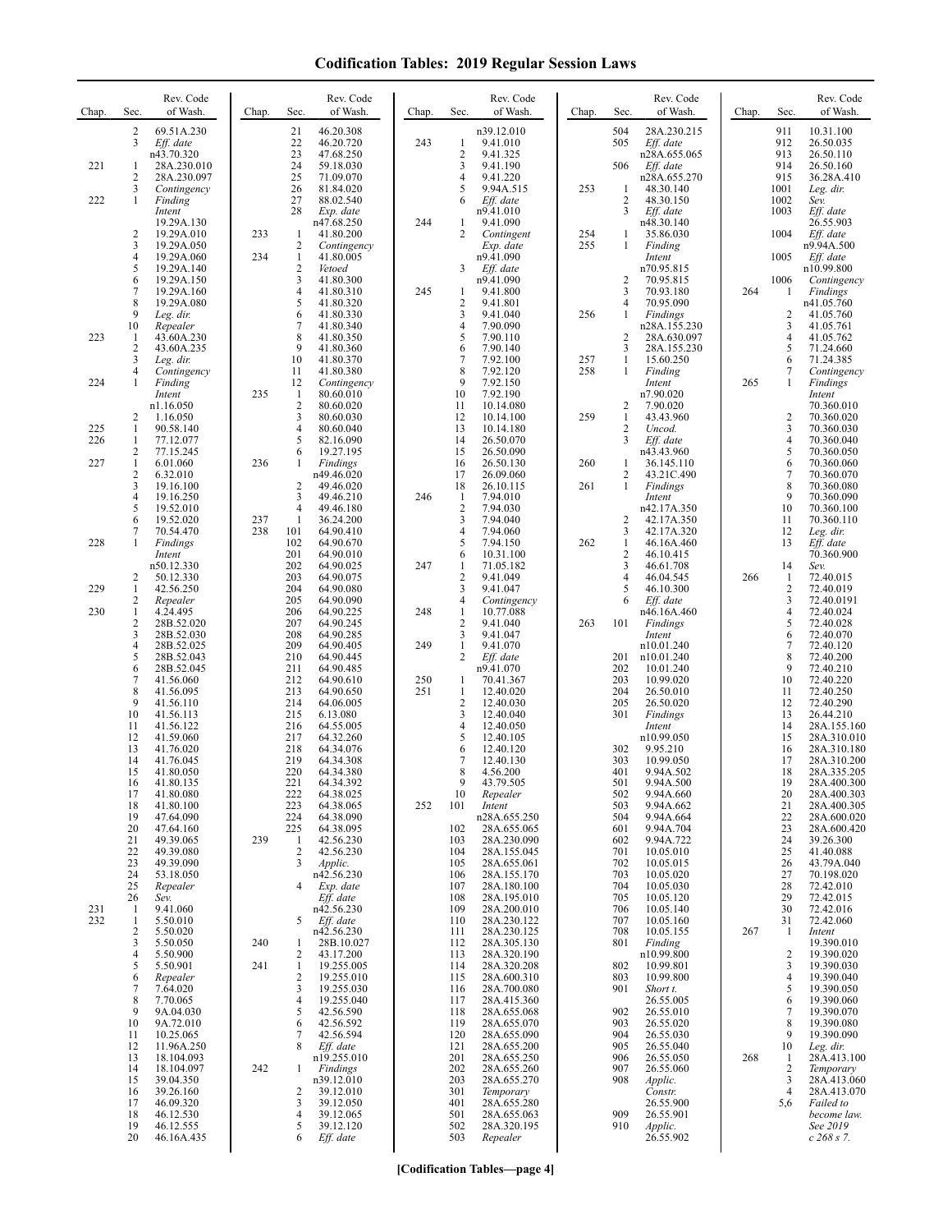| Chap.      | Sec.                                          | Rev. Code<br>of Wash.                                         | Chap.      | Sec.                          | Rev. Code<br>of Wash.                                                | Chap.      | Sec.                                                  | Rev. Code<br>of Wash.                                         | Chap.      | Sec.                                             | Rev. Code<br>of Wash.                                         | Chap. | Sec.                                  | Rev. Code<br>of Wash.                                             |
|------------|-----------------------------------------------|---------------------------------------------------------------|------------|-------------------------------|----------------------------------------------------------------------|------------|-------------------------------------------------------|---------------------------------------------------------------|------------|--------------------------------------------------|---------------------------------------------------------------|-------|---------------------------------------|-------------------------------------------------------------------|
| 221        | $\overline{c}$<br>3<br>1                      | 69.51A.230<br>Eff. date<br>n43.70.320<br>28A.230.010          |            | 21<br>22<br>23<br>24          | 46.20.308<br>46.20.720<br>47.68.250<br>59.18.030                     | 243        | -1<br>$\overline{2}$<br>3                             | n39.12.010<br>9.41.010<br>9.41.325<br>9.41.190                |            | 504<br>505<br>506                                | 28A.230.215<br>Eff. date<br>n28A.655.065<br>Eff. date         |       | 911<br>912<br>913<br>914              | 10.31.100<br>26.50.035<br>26.50.110<br>26.50.160                  |
| 222        | $\overline{2}$<br>3<br>1                      | 28A.230.097<br>Contingency<br>Finding<br>Intent               |            | 25<br>26<br>27<br>28          | 71.09.070<br>81.84.020<br>88.02.540<br>Exp. date                     |            | $\overline{4}$<br>5<br>6                              | 9.41.220<br>9.94A.515<br>Eff. date<br>n9.41.010               | 253        | -1<br>2<br>3                                     | n28A.655.270<br>48.30.140<br>48.30.150<br>Eff. date           |       | 915<br>1001<br>1002<br>1003           | 36.28A.410<br>Leg. dir.<br>Sev.<br>Eff. date                      |
|            | $\overline{c}$<br>3<br>4                      | 19.29A.130<br>19.29A.010<br>19.29A.050<br>19.29A.060          | 233<br>234 | 1<br>2<br>$\mathbf{1}$        | n47.68.250<br>41.80.200<br>Contingency<br>41.80.005                  | 244        | 1<br>2                                                | 9.41.090<br>Contingent<br>Exp. date<br>n9.41.090              | 254<br>255 | 1<br>1                                           | n48.30.140<br>35.86.030<br>Finding<br>Intent                  |       | 1004<br>1005                          | 26.55.903<br>Eff. date<br>n9.94A.500<br>Eff. date                 |
|            | 5<br>6<br>$\overline{7}$                      | 19.29A.140<br>19.29A.150<br>19.29A.160<br>19.29A.080          |            | 2<br>3<br>$\overline{4}$<br>5 | Vetoed<br>41.80.300<br>41.80.310                                     | 245        | 3<br>1                                                | Eff. date<br>n9.41.090<br>9.41.800                            |            | $\overline{c}$<br>3<br>4                         | n70.95.815<br>70.95.815<br>70.93.180                          | 264   | 1006<br>-1                            | n10.99.800<br>Contingency<br>Findings                             |
| 223        | 8<br>9<br>10<br>-1                            | Leg. dir.<br>Repealer<br>43.60A.230                           |            | 6<br>7<br>8                   | 41.80.320<br>41.80.330<br>41.80.340<br>41.80.350                     |            | $\sqrt{2}$<br>3<br>$\overline{4}$<br>5                | 9.41.801<br>9.41.040<br>7.90.090<br>7.90.110                  | 256        | 1<br>$\overline{c}$                              | 70.95.090<br>Findings<br>n28A.155.230<br>28A.630.097          |       | 2<br>3<br>$\overline{4}$              | n41.05.760<br>41.05.760<br>41.05.761<br>41.05.762                 |
| 224        | $\overline{c}$<br>3<br>4<br>1                 | 43.60A.235<br>Leg. dir.<br>Contingency<br>Finding             |            | 9<br>10<br>11<br>12           | 41.80.360<br>41.80.370<br>41.80.380<br>Contingency                   |            | 6<br>7<br>8<br>9                                      | 7.90.140<br>7.92.100<br>7.92.120<br>7.92.150                  | 257<br>258 | 3<br>1<br>1                                      | 28A.155.230<br>15.60.250<br>Finding<br>Intent                 | 265   | 5<br>6<br>7<br>1                      | 71.24.660<br>71.24.385<br>Contingency<br>Findings                 |
| 225        | 2<br>1                                        | Intent<br>n1.16.050<br>1.16.050<br>90.58.140                  | 235        | 1<br>$\overline{c}$<br>3<br>4 | 80.60.010<br>80.60.020<br>80.60.030<br>80.60.040                     |            | 10<br>11<br>12<br>13                                  | 7.92.190<br>10.14.080<br>10.14.100<br>10.14.180               | 259        | $\overline{c}$<br>$\mathbf{1}$<br>$\overline{c}$ | n7.90.020<br>7.90.020<br>43.43.960<br>Uncod.                  |       | $\overline{2}$<br>3                   | Intent<br>70.360.010<br>70.360.020<br>70.360.030                  |
| 226<br>227 | 1<br>2<br>$\mathbf{1}$<br>$\overline{c}$<br>3 | 77.12.077<br>77.15.245<br>6.01.060<br>6.32.010                | 236        | 5<br>6<br>1<br>2              | 82.16.090<br>19.27.195<br><b>Findings</b><br>n49.46.020<br>49.46.020 |            | 14<br>15<br>16<br>17<br>18                            | 26.50.070<br>26.50.090<br>26.50.130<br>26.09.060<br>26.10.115 | 260<br>261 | 3<br>1<br>2<br>1                                 | Eff. date<br>n43.43.960<br>36.145.110<br>43.21C.490           |       | $\overline{4}$<br>5<br>6<br>7<br>8    | 70.360.040<br>70.360.050<br>70.360.060<br>70.360.070              |
|            | 4<br>5<br>6<br>7                              | 19.16.100<br>19.16.250<br>19.52.010<br>19.52.020<br>70.54.470 | 237<br>238 | 3<br>4<br>1<br>101            | 49.46.210<br>49.46.180<br>36.24.200<br>64.90.410                     | 246        | $\mathbf{1}$<br>$\overline{2}$<br>3<br>$\overline{4}$ | 7.94.010<br>7.94.030<br>7.94.040<br>7.94.060                  |            | $\overline{c}$<br>3                              | Findings<br>Intent<br>n42.17A.350<br>42.17A.350<br>42.17A.320 |       | 9<br>10<br>11<br>12                   | 70.360.080<br>70.360.090<br>70.360.100<br>70.360.110<br>Leg. dir. |
| 228        | 1<br>2                                        | Findings<br>Intent<br>n50.12.330<br>50.12.330                 |            | 102<br>201<br>202<br>203      | 64.90.670<br>64.90.010<br>64.90.025<br>64.90.075                     | 247        | 5<br>6<br>1<br>$\sqrt{2}$                             | 7.94.150<br>10.31.100<br>71.05.182<br>9.41.049                | 262        | 1<br>$\overline{2}$<br>3<br>4                    | 46.16A.460<br>46.10.415<br>46.61.708<br>46.04.545             | 266   | 13<br>14<br>1                         | Eff. date<br>70.360.900<br>Sev.<br>72.40.015                      |
| 229<br>230 | 1<br>2<br>1                                   | 42.56.250<br>Repealer<br>4.24.495                             |            | 204<br>205<br>206             | 64.90.080<br>64.90.090<br>64.90.225                                  |            | 3<br>$\overline{4}$<br>$\mathbf{1}$                   | 9.41.047<br>Contingency                                       |            | 5<br>6                                           | 46.10.300<br>Eff. date                                        |       | $\overline{2}$<br>3<br>$\overline{4}$ | 72.40.019<br>72.40.0191<br>72.40.024                              |
|            | $\overline{c}$<br>3                           | 28B.52.020<br>28B.52.030                                      |            | 207<br>208                    | 64.90.245<br>64.90.285                                               | 248        | $\overline{2}$<br>3                                   | 10.77.088<br>9.41.040<br>9.41.047                             | 263        | 101                                              | n46.16A.460<br>Findings<br>Intent                             |       | 5<br>6                                | 72.40.028<br>72.40.070                                            |
|            | $\overline{4}$<br>5<br>6                      | 28B.52.025<br>28B.52.043<br>28B.52.045                        |            | 209<br>210<br>211             | 64.90.405<br>64.90.445<br>64.90.485                                  | 249        | $\mathbf{1}$<br>2                                     | 9.41.070<br>Eff. date<br>n9.41.070                            |            | 201<br>202                                       | n10.01.240<br>n10.01.240<br>10.01.240                         |       | 7<br>8<br>9                           | 72.40.120<br>72.40.200<br>72.40.210                               |
|            | 7<br>8<br>9                                   | 41.56.060<br>41.56.095<br>41.56.110                           |            | 212<br>213<br>214             | 64.90.610<br>64.90.650<br>64.06.005                                  | 250<br>251 | 1<br>$\mathbf{1}$<br>$\overline{c}$                   | 70.41.367<br>12.40.020<br>12.40.030                           |            | 203<br>204<br>205                                | 10.99.020<br>26.50.010<br>26.50.020                           |       | 10<br>11<br>12                        | 72.40.220<br>72.40.250<br>72.40.290                               |
|            | 10<br>11<br>12                                | 41.56.113<br>41.56.122<br>41.59.060                           |            | 215<br>216<br>217             | 6.13.080<br>64.55.005<br>64.32.260                                   |            | 3<br>$\overline{4}$<br>5                              | 12.40.040<br>12.40.050<br>12.40.105                           |            | 301                                              | Findings<br>Intent<br>n10.99.050                              |       | 13<br>14<br>15                        | 26.44.210<br>28A.155.160<br>28A.310.010                           |
|            | 13<br>14<br>15                                | 41.76.020<br>41.76.045<br>41.80.050                           |            | 218<br>219<br>220             | 64.34.076<br>64.34.308<br>64.34.380                                  |            | 6<br>7<br>8                                           | 12.40.120<br>12.40.130<br>4.56.200                            |            | 302<br>303<br>401                                | 9.95.210<br>10.99.050<br>9.94A.502                            |       | 16<br>17<br>18                        | 28A.310.180<br>28A.310.200<br>28A.335.205                         |
|            | 16<br>17<br>18                                | 41.80.135<br>41.80.080<br>41.80.100                           |            | 221<br>222<br>223             | 64.34.392<br>64.38.025<br>64.38.065                                  | 252        | 9<br>10<br>101                                        | 43.79.505<br>Repealer<br>Intent                               |            | 501<br>502<br>503                                | 9.94A.500<br>9.94A.660<br>9.94A.662                           |       | 19<br>20<br>21                        | 28A.400.300<br>28A.400.303<br>28A.400.305                         |
|            | 19<br>20<br>21                                | 47.64.090<br>47.64.160<br>49.39.065                           | 239        | 224<br>225<br>1               | 64.38.090<br>64.38.095<br>42.56.230                                  |            | 102<br>103                                            | n28A.655.250<br>28A.655.065<br>28A.230.090                    |            | 504<br>601<br>602                                | 9.94A.664<br>9.94A.704<br>9.94A.722                           |       | 22<br>23<br>24                        | 28A.600.020<br>28A.600.420<br>39.26.300                           |
|            | 22<br>23<br>24                                | 49.39.080<br>49.39.090<br>53.18.050                           |            | 2<br>3                        | 42.56.230<br>Applic.<br>n42.56.230                                   |            | 104<br>105<br>106                                     | 28A.155.045<br>28A.655.061<br>28A.155.170                     |            | 701<br>702<br>703                                | 10.05.010<br>10.05.015<br>10.05.020                           |       | 25<br>26<br>27                        | 41.40.088<br>43.79A.040<br>70.198.020                             |
| 231        | 25<br>26<br>-1                                | Repealer<br>Sev.<br>9.41.060                                  |            | 4                             | Exp. date<br>Eff. date<br>n42.56.230                                 |            | 107<br>108<br>109                                     | 28A.180.100<br>28A.195.010<br>28A.200.010                     |            | 704<br>705<br>706                                | 10.05.030<br>10.05.120<br>10.05.140                           |       | 28<br>29<br>30                        | 72.42.010<br>72.42.015<br>72.42.016                               |
| 232        | $\mathbf{1}$<br>2<br>3                        | 5.50.010<br>5.50.020<br>5.50.050                              | 240        | 5<br>1                        | Eff. date<br>n42.56.230<br>28B.10.027                                |            | 110<br>111<br>112                                     | 28A.230.122<br>28A.230.125<br>28A.305.130                     |            | 707<br>708<br>801                                | 10.05.160<br>10.05.155<br>Finding                             | 267   | 31<br>-1                              | 72.42.060<br>Intent<br>19.390.010                                 |
|            | 4<br>5<br>6                                   | 5.50.900<br>5.50.901<br>Repealer                              | 241        | 2<br>$\mathbf{1}$<br>2        | 43.17.200<br>19.255.005<br>19.255.010                                |            | 113<br>114<br>115                                     | 28A.320.190<br>28A.320.208<br>28A.600.310                     |            | 802<br>803                                       | n10.99.800<br>10.99.801<br>10.99.800                          |       | 2<br>3<br>4                           | 19.390.020<br>19.390.030<br>19.390.040                            |
|            | 7<br>8<br>9                                   | 7.64.020<br>7.70.065<br>9A.04.030                             |            | 3<br>4<br>5                   | 19.255.030<br>19.255.040<br>42.56.590                                |            | 116<br>117<br>118                                     | 28A.700.080<br>28A.415.360<br>28A.655.068                     |            | 901<br>902                                       | Short t.<br>26.55.005<br>26.55.010                            |       | 5<br>6<br>7                           | 19.390.050<br>19.390.060<br>19.390.070                            |
|            | 10<br>11<br>12                                | 9A.72.010<br>10.25.065<br>11.96A.250                          |            | 6<br>7<br>8                   | 42.56.592<br>42.56.594<br>Eff. date                                  |            | 119<br>120<br>121                                     | 28A.655.070<br>28A.655.090<br>28A.655.200                     |            | 903<br>904<br>905                                | 26.55.020<br>26.55.030<br>26.55.040                           |       | 8<br>9<br>10                          | 19.390.080<br>19.390.090<br>Leg. dir.                             |
|            | 13<br>14<br>15                                | 18.104.093<br>18.104.097<br>39.04.350                         | 242        | 1                             | n19.255.010<br>Findings<br>n39.12.010                                |            | 201<br>202<br>203                                     | 28A.655.250<br>28A.655.260<br>28A.655.270                     |            | 906<br>907<br>908                                | 26.55.050<br>26.55.060<br>Applic.                             | 268   | -1<br>2<br>3                          | 28A.413.100<br>Temporary<br>28A.413.060                           |
|            | 16<br>17<br>18                                | 39.26.160<br>46.09.320<br>46.12.530                           |            | 2<br>3<br>4                   | 39.12.010<br>39.12.050<br>39.12.065                                  |            | 301<br>401<br>501                                     | Temporary<br>28A.655.280<br>28A.655.063                       |            | 909                                              | Constr.<br>26.55.900<br>26.55.901                             |       | $\overline{4}$<br>5,6                 | 28A.413.070<br>Failed to<br>become law.                           |
|            | 19<br>20                                      | 46.12.555<br>46.16A.435                                       |            | 5<br>6                        | 39.12.120<br>Eff. date                                               |            | 502<br>503                                            | 28A.320.195<br>Repealer                                       |            | 910                                              | Applic.<br>26.55.902                                          |       |                                       | See 2019<br>$c\,268\,s\,7.$                                       |

**[Codification Tables—page 4]**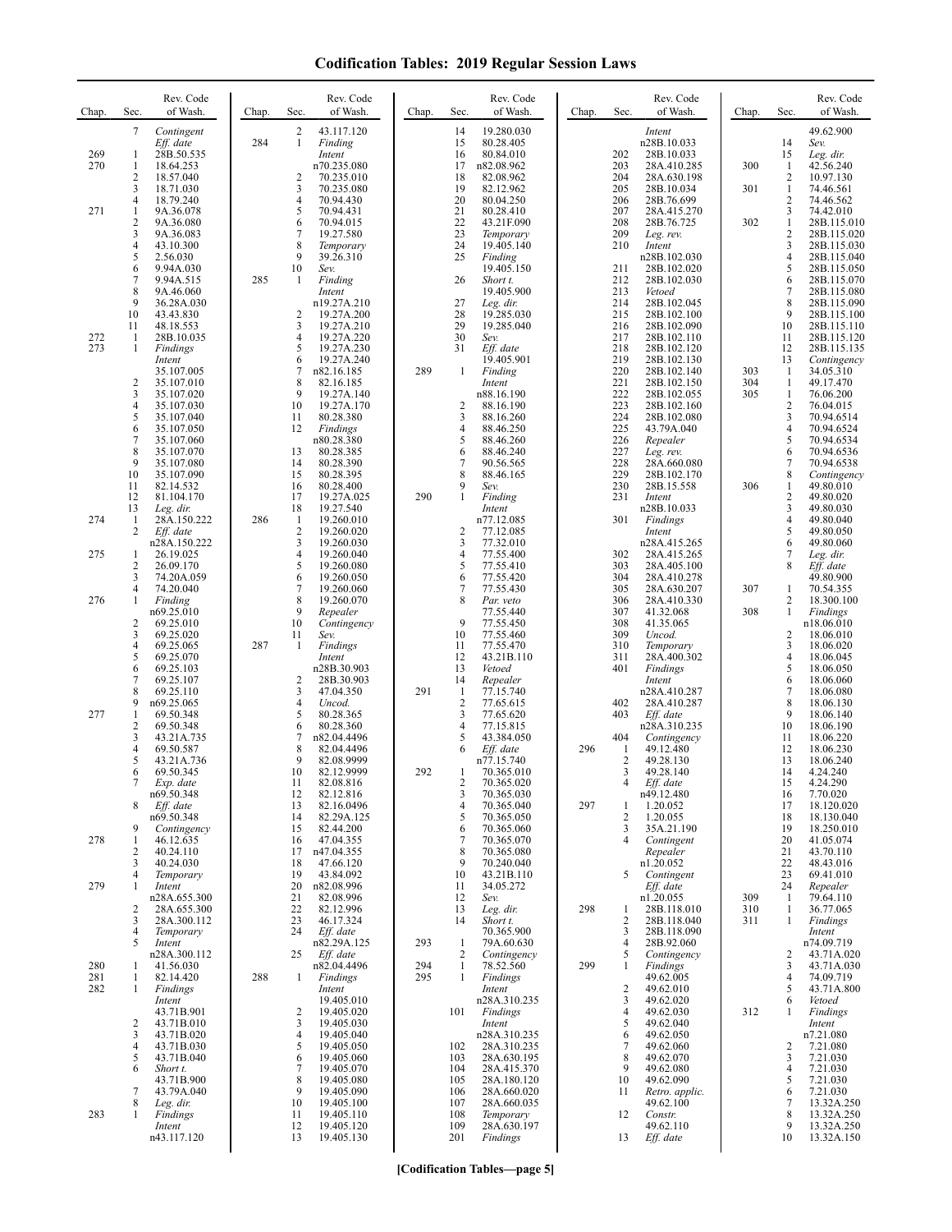| Chap.      | Sec.                              | Rev. Code<br>of Wash.                              | Chap. | Sec.                           | Rev. Code<br>of Wash.                          | Chap.      | Sec.                              | Rev. Code<br>of Wash.                              | Chap. | Sec.                                  | Rev. Code<br>of Wash.                              | Chap.      | Sec.                                  | Rev. Code<br>of Wash.                       |
|------------|-----------------------------------|----------------------------------------------------|-------|--------------------------------|------------------------------------------------|------------|-----------------------------------|----------------------------------------------------|-------|---------------------------------------|----------------------------------------------------|------------|---------------------------------------|---------------------------------------------|
| 269<br>270 | 7<br>1<br>1                       | Contingent<br>Eff. date<br>28B.50.535<br>18.64.253 | 284   | $\overline{2}$<br>$\mathbf{1}$ | 43.117.120<br>Finding<br>Intent<br>n70.235.080 |            | 14<br>15<br>16<br>17              | 19.280.030<br>80.28.405<br>80.84.010<br>n82.08.962 |       | 202<br>203                            | Intent<br>n28B.10.033<br>28B.10.033<br>28A.410.285 | 300        | 14<br>15<br>$\,1\,$                   | 49.62.900<br>Sev.<br>Leg. dir.<br>42.56.240 |
|            | $\overline{c}$<br>3               | 18.57.040<br>18.71.030                             |       | 2<br>3                         | 70.235.010<br>70.235.080                       |            | 18<br>19                          | 82.08.962<br>82.12.962                             |       | 204<br>205                            | 28A.630.198<br>28B.10.034                          | 301        | 2<br>1                                | 10.97.130<br>74.46.561                      |
| 271        | 4<br>1<br>$\overline{\mathbf{c}}$ | 18.79.240<br>9A.36.078<br>9A.36.080                |       | 4<br>5<br>6                    | 70.94.430<br>70.94.431<br>70.94.015            |            | 20<br>21<br>22                    | 80.04.250<br>80.28.410<br>43.21F.090               |       | 206<br>207<br>208                     | 28B.76.699<br>28A.415.270<br>28B.76.725            | 302        | $\overline{c}$<br>3<br>$\mathbf{1}$   | 74.46.562<br>74.42.010<br>28B.115.010       |
|            | 3<br>4<br>5                       | 9A.36.083<br>43.10.300<br>2.56.030                 |       | 7<br>8<br>9                    | 19.27.580<br>Temporary<br>39.26.310            |            | 23<br>24<br>25                    | Temporary<br>19.405.140<br>Finding                 |       | 209<br>210                            | Leg. rev.<br>Intent<br>n28B.102.030                |            | $\overline{c}$<br>3<br>$\overline{4}$ | 28B.115.020<br>28B.115.030<br>28B.115.040   |
|            | 6<br>7                            | 9.94A.030<br>9.94A.515                             | 285   | 10<br>-1                       | Sev.<br>Finding                                |            | 26                                | 19.405.150<br>Short t.                             |       | 211<br>212                            | 28B.102.020<br>28B.102.030                         |            | 5<br>6                                | 28B.115.050<br>28B.115.070                  |
|            | 8<br>9<br>10                      | 9A.46.060<br>36.28A.030<br>43.43.830               |       | 2                              | Intent<br>n19.27A.210<br>19.27A.200            |            | 27<br>28                          | 19.405.900<br>Leg. dir.<br>19.285.030              |       | 213<br>214<br>215                     | Vetoed<br>28B.102.045<br>28B.102.100               |            | $\tau$<br>8<br>9                      | 28B.115.080<br>28B.115.090<br>28B.115.100   |
| 272<br>273 | 11<br>-1<br>1                     | 48.18.553<br>28B.10.035                            |       | 3<br>4<br>5                    | 19.27A.210<br>19.27A.220<br>19.27A.230         |            | 29<br>30<br>31                    | 19.285.040<br>Sev.<br>Eff. date                    |       | 216<br>217<br>218                     | 28B.102.090<br>28B.102.110<br>28B.102.120          |            | 10<br>11<br>12                        | 28B.115.110<br>28B.115.120<br>28B.115.135   |
|            |                                   | Findings<br>Intent<br>35.107.005                   |       | 6<br>7                         | 19.27A.240<br>n82.16.185                       | 289        | 1                                 | 19.405.901<br>Finding                              |       | 219<br>220                            | 28B.102.130<br>28B.102.140                         | 303        | 13<br>1                               | Contingency<br>34.05.310                    |
|            | $\overline{c}$<br>3<br>4          | 35.107.010<br>35.107.020<br>35.107.030             |       | 8<br>9<br>10                   | 82.16.185<br>19.27A.140<br>19.27A.170          |            | $\overline{c}$                    | Intent<br>n88.16.190<br>88.16.190                  |       | 221<br>222<br>223                     | 28B.102.150<br>28B.102.055<br>28B.102.160          | 304<br>305 | $\mathbf{1}$<br>1<br>$\sqrt{2}$       | 49.17.470<br>76.06.200<br>76.04.015         |
|            | 5<br>6<br>7                       | 35.107.040<br>35.107.050<br>35.107.060             |       | 11<br>12                       | 80.28.380<br>Findings<br>n80.28.380            |            | 3<br>4<br>5                       | 88.16.260<br>88.46.250<br>88.46.260                |       | 224<br>225<br>226                     | 28B.102.080<br>43.79A.040<br>Repealer              |            | 3<br>4<br>5                           | 70.94.6514<br>70.94.6524<br>70.94.6534      |
|            | 8<br>9                            | 35.107.070<br>35.107.080                           |       | 13<br>14                       | 80.28.385<br>80.28.390                         |            | 6<br>7                            | 88.46.240<br>90.56.565                             |       | 227<br>228                            | Leg. rev.<br>28A.660.080                           |            | 6<br>7                                | 70.94.6536<br>70.94.6538                    |
|            | 10<br>11<br>12                    | 35.107.090<br>82.14.532<br>81.104.170              |       | 15<br>16<br>17                 | 80.28.395<br>80.28.400<br>19.27A.025           | 290        | 8<br>9<br>1                       | 88.46.165<br>Sev.<br>Finding                       |       | 229<br>230<br>231                     | 28B.102.170<br>28B.15.558<br>Intent                | 306        | 8<br>1<br>2                           | Contingency<br>49.80.010<br>49.80.020       |
| 274        | 13<br>1<br>2                      | Leg. dir.<br>28A.150.222<br>Eff. date              | 286   | 18<br>-1<br>$\overline{c}$     | 19.27.540<br>19.260.010<br>19.260.020          |            | $\overline{c}$                    | Intent<br>n77.12.085<br>77.12.085                  |       | 301                                   | n28B.10.033<br>Findings<br>Intent                  |            | 3<br>4<br>5                           | 49.80.030<br>49.80.040<br>49.80.050         |
| 275        | 1<br>$\overline{c}$               | n28A.150.222<br>26.19.025                          |       | 3<br>$\overline{4}$<br>5       | 19.260.030<br>19.260.040                       |            | 3<br>4<br>5                       | 77.32.010<br>77.55.400<br>77.55.410                |       | 302<br>303                            | n28A.415.265<br>28A.415.265                        |            | 6<br>7<br>8                           | 49.80.060<br>Leg. dir.                      |
|            | 3<br>$\overline{4}$               | 26.09.170<br>74.20A.059<br>74.20.040               |       | 6<br>7                         | 19.260.080<br>19.260.050<br>19.260.060         |            | 6<br>7                            | 77.55.420<br>77.55.430                             |       | 304<br>305                            | 28A.405.100<br>28A.410.278<br>28A.630.207          | 307        | 1                                     | Eff. date<br>49.80.900<br>70.54.355         |
| 276        | 1<br>$\overline{c}$               | Finding<br>n69.25.010<br>69.25.010                 |       | 8<br>9<br>10                   | 19.260.070<br>Repealer<br>Contingency          |            | 8<br>9                            | Par. veto<br>77.55.440<br>77.55.450                |       | 306<br>307<br>308                     | 28A.410.330<br>41.32.068<br>41.35.065              | 308        | 2<br>$\mathbf{1}$                     | 18.300.100<br>Findings<br>n18.06.010        |
|            | 3<br>4<br>5                       | 69.25.020<br>69.25.065<br>69.25.070                | 287   | 11<br>1                        | Sev.<br>Findings<br>Intent                     |            | 10<br>11<br>12                    | 77.55.460<br>77.55.470<br>43.21B.110               |       | 309<br>310<br>311                     | Uncod.<br>Temporary<br>28A.400.302                 |            | 2<br>3<br>4                           | 18.06.010<br>18.06.020<br>18.06.045         |
|            | 6<br>7                            | 69.25.103<br>69.25.107                             |       | $\overline{2}$                 | n28B.30.903<br>28B.30.903                      |            | 13<br>14                          | Vetoed<br>Repealer                                 |       | 401                                   | Findings<br>Intent                                 |            | 5<br>6                                | 18.06.050<br>18.06.060                      |
| 277        | 8<br>9<br>1                       | 69.25.110<br>n69.25.065<br>69.50.348               |       | 3<br>4<br>5                    | 47.04.350<br>Uncod.<br>80.28.365               | 291        | -1<br>$\overline{2}$<br>3         | 77.15.740<br>77.65.615<br>77.65.620                |       | 402<br>403                            | n28A.410.287<br>28A.410.287<br>Eff. date           |            | $\tau$<br>8<br>9                      | 18.06.080<br>18.06.130<br>18.06.140         |
|            | $\overline{c}$<br>3<br>4          | 69.50.348<br>43.21A.735<br>69.50.587               |       | 6<br>7<br>8                    | 80.28.360<br>n82.04.4496<br>82.04.4496         |            | 4<br>5<br>6                       | 77.15.815<br>43.384.050<br>Eff. date               | 296   | 404<br>1                              | n28A.310.235<br>Contingency<br>49.12.480           |            | 10<br>11<br>12                        | 18.06.190<br>18.06.220<br>18.06.230         |
|            | 5<br>6                            | 43.21A.736<br>69.50.345                            |       | 9<br>10                        | 82.08.9999<br>82.12.9999                       | 292        | 1                                 | n77.15.740<br>70.365.010                           |       | $\overline{2}$<br>3                   | 49.28.130<br>49.28.140                             |            | 13<br>14                              | 18.06.240<br>4.24.240                       |
|            | 8                                 | Exp. date<br>n69.50.348<br>Eff. date               |       | 11<br>12<br>13                 | 82.08.816<br>82.12.816<br>82.16.0496           |            | 2<br>3<br>4                       | 70.365.020<br>70.365.030<br>70.365.040             | 297   | 1                                     | Eff. date<br>n49.12.480<br>1.20.052                |            | 15<br>16<br>17                        | 4.24.290<br>7.70.020<br>18.120.020          |
| 278        | 9<br>1                            | n69.50.348<br>Contingency<br>46.12.635             |       | 14<br>15<br>16                 | 82.29A.125<br>82.44.200<br>47.04.355           |            | 5<br>6<br>$\overline{7}$          | 70.365.050<br>70.365.060<br>70.365.070             |       | $\overline{2}$<br>3<br>$\overline{4}$ | 1.20.055<br>35A.21.190<br>Contingent               |            | 18<br>19<br>20                        | 18.130.040<br>18.250.010<br>41.05.074       |
|            | $\overline{c}$<br>3<br>4          | 40.24.110<br>40.24.030<br>Temporary                |       | 17<br>18<br>19                 | n47.04.355<br>47.66.120<br>43.84.092           |            | 8<br>9<br>10                      | 70.365.080<br>70.240.040<br>43.21B.110             |       | 5                                     | Repealer<br>n1.20.052<br>Contingent                |            | 21<br>22<br>23                        | 43.70.110<br>48.43.016<br>69.41.010         |
| 279        | 1                                 | Intent<br>n28A.655.300                             |       | 20<br>21                       | n82.08.996<br>82.08.996                        |            | 11<br>12                          | 34.05.272<br>Sev.                                  |       |                                       | Eff. date<br>n1.20.055                             | 309        | 24<br>-1                              | Repealer<br>79.64.110                       |
|            | 2<br>3<br>4                       | 28A.655.300<br>28A.300.112<br>Temporary            |       | 22<br>23<br>24                 | 82.12.996<br>46.17.324<br>Eff. date            |            | 13<br>14                          | Leg. dir.<br>Short t.<br>70.365.900                | 298   | 1<br>$\overline{2}$<br>3              | 28B.118.010<br>28B.118.040<br>28B.118.090          | 310<br>311 | 1<br>1                                | 36.77.065<br>Findings<br>Intent             |
| 280        | 5<br>1                            | Intent<br>n28A.300.112<br>41.56.030                |       | 25                             | n82.29A.125<br>Eff. date<br>n82.04.4496        | 293<br>294 | $\mathbf{1}$<br>2<br>$\mathbf{1}$ | 79A.60.630<br>Contingency<br>78.52.560             | 299   | $\overline{4}$<br>5<br>1              | 28B.92.060<br>Contingency<br><b>Findings</b>       |            | 2<br>3                                | n74.09.719<br>43.71A.020<br>43.71A.030      |
| 281<br>282 | 1<br>1                            | 82.14.420<br>Findings<br>Intent                    | 288   | 1                              | Findings<br>Intent<br>19.405.010               | 295        | $\mathbf{1}$                      | Findings<br>Intent<br>n28A.310.235                 |       | $\overline{c}$<br>$\mathfrak{Z}$      | 49.62.005<br>49.62.010<br>49.62.020                |            | 4<br>5<br>6                           | 74.09.719<br>43.71A.800<br>Vetoed           |
|            | $\overline{c}$                    | 43.71B.901<br>43.71B.010                           |       | 2<br>3                         | 19.405.020<br>19.405.030                       |            | 101                               | Findings<br>Intent                                 |       | $\overline{4}$<br>5                   | 49.62.030<br>49.62.040                             | 312        | 1                                     | Findings<br>Intent                          |
|            | 3<br>4<br>5                       | 43.71B.020<br>43.71B.030<br>43.71B.040             |       | $\overline{4}$<br>5<br>6       | 19.405.040<br>19.405.050<br>19.405.060         |            | 102<br>103                        | n28A.310.235<br>28A.310.235<br>28A.630.195         |       | 6<br>$\overline{7}$<br>8              | 49.62.050<br>49.62.060<br>49.62.070                |            | 2<br>3                                | n7.21.080<br>7.21.080<br>7.21.030           |
|            | 6<br>7                            | Short t.<br>43.71B.900<br>43.79A.040               |       | 7<br>8<br>9                    | 19.405.070<br>19.405.080<br>19.405.090         |            | 104<br>105<br>106                 | 28A.415.370<br>28A.180.120<br>28A.660.020          |       | 9<br>10<br>11                         | 49.62.080<br>49.62.090<br>Retro. applic.           |            | 4<br>5<br>6                           | 7.21.030<br>7.21.030<br>7.21.030            |
| 283        | 8<br>1                            | Leg. dir.<br>Findings                              |       | 10<br>11                       | 19.405.100<br>19.405.110                       |            | 107<br>108                        | 28A.660.035<br>Temporary                           |       | 12                                    | 49.62.100<br>Constr.                               |            | 7<br>8                                | 13.32A.250<br>13.32A.250                    |
|            |                                   | Intent<br>n43.117.120                              |       | 12<br>13                       | 19.405.120<br>19.405.130                       |            | 109<br>201                        | 28A.630.197<br>Findings                            |       | 13                                    | 49.62.110<br>Eff. date                             |            | 9<br>10                               | 13.32A.250<br>13.32A.150                    |

**[Codification Tables—page 5]**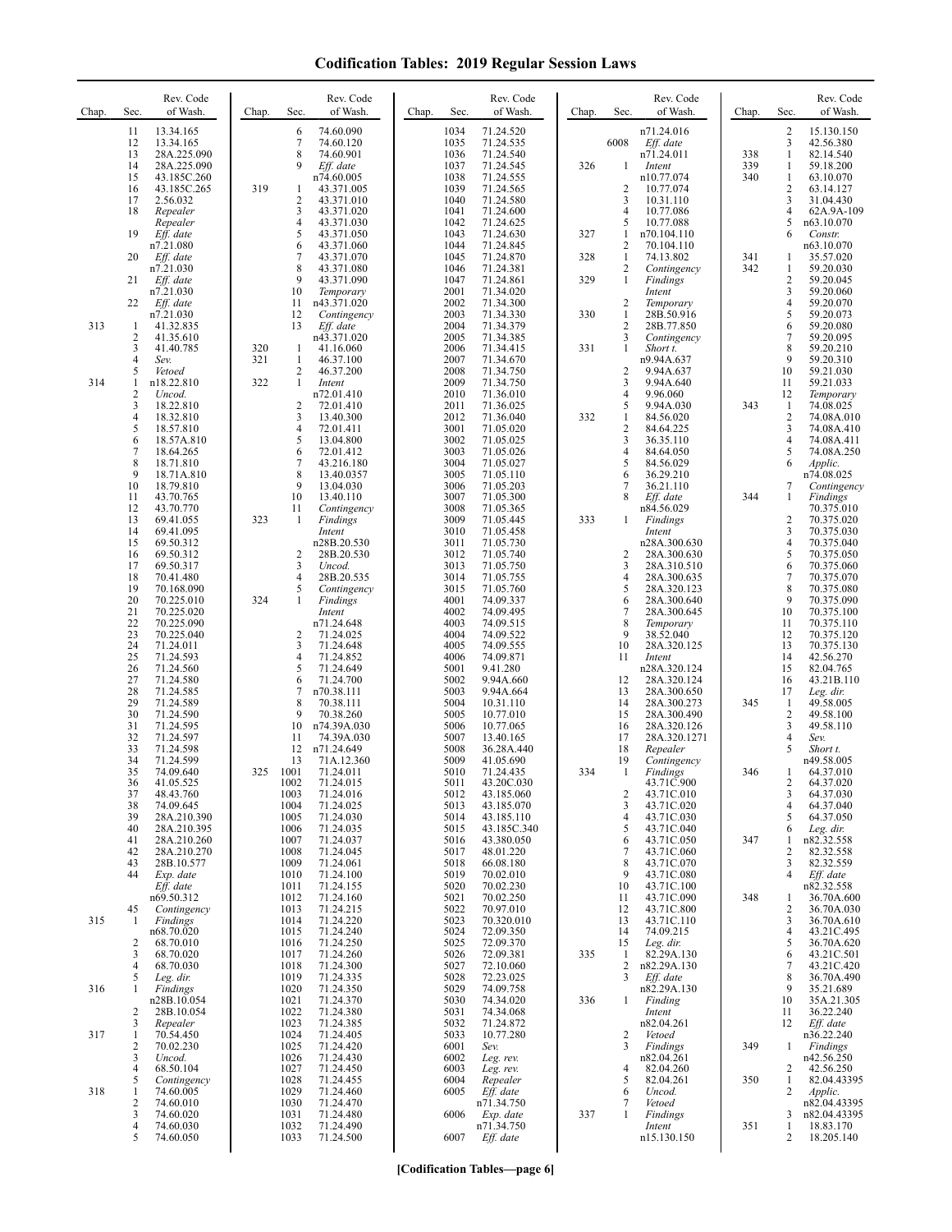| Chap. | Rev. Code<br>Sec.<br>of Wash.                                                                                      | Chap.             | Rev. Code<br>of Wash.<br>Sec.                                                                         | Chap.<br>Sec.                        | Rev. Code<br>of Wash.                                               | Chap.             | Sec.                                                        | Rev. Code<br>of Wash.                                                   | Chap.             | Sec.                                          | Rev. Code<br>of Wash.                                                      |
|-------|--------------------------------------------------------------------------------------------------------------------|-------------------|-------------------------------------------------------------------------------------------------------|--------------------------------------|---------------------------------------------------------------------|-------------------|-------------------------------------------------------------|-------------------------------------------------------------------------|-------------------|-----------------------------------------------|----------------------------------------------------------------------------|
|       | 13.34.165<br>11<br>12<br>13.34.165<br>13<br>28A.225.090<br>14<br>28A.225.090<br>15<br>43.185C.260                  |                   | 6<br>74.60.090<br>7<br>74.60.120<br>8<br>74.60.901<br>9<br>Eff. date<br>n74.60.005                    | 1034<br>1035<br>1036<br>1037<br>1038 | 71.24.520<br>71.24.535<br>71.24.540<br>71.24.545<br>71.24.555       | 326               | 6008<br>-1                                                  | n71.24.016<br>Eff. date<br>n71.24.011<br>Intent<br>n10.77.074           | 338<br>339<br>340 | $\overline{c}$<br>3<br>$\mathbf{1}$<br>1<br>1 | 15.130.150<br>42.56.380<br>82.14.540<br>59.18.200<br>63.10.070             |
|       | 16<br>43.185C.265<br>17<br>2.56.032<br>18<br>Repealer<br>Repealer                                                  | 319               | 43.371.005<br>1<br>$\overline{2}$<br>43.371.010<br>3<br>43.371.020<br>4<br>43.371.030                 | 1039<br>1040<br>1041<br>1042         | 71.24.565<br>71.24.580<br>71.24.600<br>71.24.625                    |                   | 2<br>3<br>$\overline{4}$<br>5                               | 10.77.074<br>10.31.110<br>10.77.086<br>10.77.088                        |                   | $\overline{\mathbf{c}}$<br>3<br>4<br>5        | 63.14.127<br>31.04.430<br>62A.9A-109<br>n63.10.070                         |
|       | 19<br>Eff. date<br>n7.21.080<br>20<br>Eff. date<br>n7.21.030<br>21<br>Eff. date                                    |                   | 5<br>43.371.050<br>6<br>43.371.060<br>7<br>43.371.070<br>8<br>43.371.080<br>9<br>43.371.090           | 1043<br>1044<br>1045<br>1046<br>1047 | 71.24.630<br>71.24.845<br>71.24.870<br>71.24.381<br>71.24.861       | 327<br>328<br>329 | 1<br>$\overline{2}$<br>$\mathbf{1}$<br>$\overline{2}$<br>-1 | n70.104.110<br>70.104.110<br>74.13.802<br>Contingency<br>Findings       | 341<br>342        | 6<br>1<br>1<br>$\overline{\mathbf{c}}$        | Constr.<br>n63.10.070<br>35.57.020<br>59.20.030<br>59.20.045               |
| 313   | n7.21.030<br>22<br>Eff. date<br>n7.21.030<br>-1<br>41.32.835                                                       |                   | 10<br>Temporary<br>11<br>n43.371.020<br>12<br>Contingency<br>13<br>Eff. date                          | 2001<br>2002<br>2003<br>2004         | 71.34.020<br>71.34.300<br>71.34.330<br>71.34.379                    | 330               | $\overline{c}$<br>$\mathbf{1}$<br>$\overline{2}$            | Intent<br>Temporary<br>28B.50.916<br>28B.77.850                         |                   | 3<br>4<br>5<br>6<br>7                         | 59.20.060<br>59.20.070<br>59.20.073<br>59.20.080                           |
| 314   | $\overline{2}$<br>41.35.610<br>3<br>41.40.785<br>4<br>Sev.<br>5<br>Vetoed<br>n18.22.810<br>1                       | 320<br>321<br>322 | n43.371.020<br>1<br>41.16.060<br>$\mathbf{1}$<br>46.37.100<br>2<br>46.37.200<br>1<br>Intent           | 2005<br>2006<br>2007<br>2008<br>2009 | 71.34.385<br>71.34.415<br>71.34.670<br>71.34.750<br>71.34.750       | 331               | 3<br>$\mathbf{1}$<br>$\overline{2}$<br>3                    | Contingency<br>Short t.<br>n9.94A.637<br>9.94A.637<br>9.94A.640         |                   | 8<br>9<br>10<br>11                            | 59.20.095<br>59.20.210<br>59.20.310<br>59.21.030<br>59.21.033              |
|       | 2<br>Uncod.<br>3<br>18.22.810<br>4<br>18.32.810<br>5<br>18.57.810<br>6<br>18.57A.810                               |                   | n72.01.410<br>2<br>72.01.410<br>3<br>13.40.300<br>4<br>72.01.411<br>5<br>13.04.800                    | 2010<br>2011<br>2012<br>3001<br>3002 | 71.36.010<br>71.36.025<br>71.36.040<br>71.05.020<br>71.05.025       | 332               | $\overline{4}$<br>5<br>-1<br>$\overline{2}$<br>3            | 9.96.060<br>9.94A.030<br>84.56.020<br>84.64.225<br>36.35.110            | 343               | 12<br>1<br>2<br>3<br>4                        | Temporary<br>74.08.025<br>74.08A.010<br>74.08A.410<br>74.08A.411           |
|       | 7<br>18.64.265<br>8<br>18.71.810<br>9<br>18.71A.810<br>10<br>18.79.810<br>11<br>43.70.765                          |                   | 6<br>72.01.412<br>7<br>43.216.180<br>8<br>13.40.0357<br>9<br>13.04.030<br>10<br>13.40.110             | 3003<br>3004<br>3005<br>3006<br>3007 | 71.05.026<br>71.05.027<br>71.05.110<br>71.05.203<br>71.05.300       |                   | $\overline{4}$<br>5<br>6<br>7<br>8                          | 84.64.050<br>84.56.029<br>36.29.210<br>36.21.110<br>Eff. date           | 344               | 5<br>6<br>7<br>1                              | 74.08A.250<br>Applic.<br>n74.08.025<br>Contingency<br>Findings             |
|       | 12<br>43.70.770<br>13<br>69.41.055<br>14<br>69.41.095<br>15<br>69.50.312<br>16<br>69.50.312                        | 323               | 11<br>Contingency<br>Findings<br>1<br>Intent<br>n28B.20.530<br>2<br>28B.20.530                        | 3008<br>3009<br>3010<br>3011<br>3012 | 71.05.365<br>71.05.445<br>71.05.458<br>71.05.730<br>71.05.740       | 333               | -1<br>$\overline{c}$                                        | n84.56.029<br>Findings<br>Intent<br>n28A.300.630<br>28A.300.630         |                   | 2<br>3<br>4<br>5                              | 70.375.010<br>70.375.020<br>70.375.030<br>70.375.040<br>70.375.050         |
|       | 17<br>69.50.317<br>18<br>70.41.480<br>19<br>70.168.090<br>20<br>70.225.010<br>21<br>70.225.020                     | 324               | 3<br>Uncod.<br>4<br>28B.20.535<br>5<br>Contingency<br>1<br>Findings<br>Intent                         | 3013<br>3014<br>3015<br>4001<br>4002 | 71.05.750<br>71.05.755<br>71.05.760<br>74.09.337<br>74.09.495       |                   | 3<br>4<br>5<br>6<br>7                                       | 28A.310.510<br>28A.300.635<br>28A.320.123<br>28A.300.640<br>28A.300.645 |                   | 6<br>7<br>8<br>9<br>10                        | 70.375.060<br>70.375.070<br>70.375.080<br>70.375.090<br>70.375.100         |
|       | 22<br>70.225.090<br>23<br>70.225.040<br>24<br>71.24.011<br>25<br>71.24.593<br>26<br>71.24.560                      |                   | n71.24.648<br>2<br>71.24.025<br>3<br>71.24.648<br>4<br>71.24.852<br>5<br>71.24.649                    | 4003<br>4004<br>4005<br>4006<br>5001 | 74.09.515<br>74.09.522<br>74.09.555<br>74.09.871<br>9.41.280        |                   | 8<br>9<br>10<br>11                                          | Temporary<br>38.52.040<br>28A.320.125<br>Intent<br>n28A.320.124         |                   | 11<br>12<br>13<br>14<br>15                    | 70.375.110<br>70.375.120<br>70.375.130<br>42.56.270<br>82.04.765           |
|       | 27<br>71.24.580<br>28<br>71.24.585<br>29<br>71.24.589<br>30<br>71.24.590<br>31<br>71.24.595                        |                   | 71.24.700<br>6<br>7<br>n70.38.111<br>8<br>70.38.111<br>9<br>70.38.260<br>10<br>n74.39A.030            | 5002<br>5003<br>5004<br>5005<br>5006 | 9.94A.660<br>9.94A.664<br>10.31.110<br>10.77.010<br>10.77.065       |                   | 12<br>13<br>14<br>15<br>16                                  | 28A.320.124<br>28A.300.650<br>28A.300.273<br>28A.300.490<br>28A.320.126 | 345               | 16<br>17<br>-1<br>2<br>3                      | 43.21B.110<br>Leg. dir.<br>49.58.005<br>49.58.100<br>49.58.110             |
|       | 32<br>71.24.597<br>33<br>71.24.598<br>34<br>71.24.599<br>35<br>74.09.640<br>36<br>41.05.525                        | 325               | 11<br>74.39A.030<br>12<br>n71.24.649<br>13<br>71A.12.360<br>1001<br>71.24.011<br>1002<br>71.24.015    | 5007<br>5008<br>5009<br>5010<br>5011 | 13.40.165<br>36.28A.440<br>41.05.690<br>71.24.435<br>43.20C.030     | 334               | 17<br>18<br>19<br>-1                                        | 28A.320.1271<br>Repealer<br>Contingency<br>Findings<br>43.71C.900       | 346               | 4<br>5<br>1<br>2                              | Sev.<br>Short t.<br>n49.58.005<br>64.37.010<br>64.37.020                   |
|       | 37<br>48.43.760<br>74.09.645<br>38<br>39<br>28A.210.390<br>40<br>28A.210.395<br>41<br>28A.210.260                  |                   | 1003<br>71.24.016<br>1004<br>71.24.025<br>1005<br>71.24.030<br>1006<br>71.24.035<br>1007<br>71.24.037 | 5012<br>5013<br>5014<br>5015<br>5016 | 43.185.060<br>43.185.070<br>43.185.110<br>43.185C.340<br>43.380.050 |                   | $\overline{2}$<br>3<br>$\overline{4}$<br>5<br>6             | 43.71C.010<br>43.71C.020<br>43.71C.030<br>43.71C.040<br>43.71C.050      | 347               | 3<br>4<br>5<br>6<br>1                         | 64.37.030<br>64.37.040<br>64.37.050<br>Leg. dir.<br>n82.32.558             |
|       | 42<br>28A.210.270<br>43<br>28B.10.577<br>44<br>Exp. date<br>Eff. date<br>n69.50.312                                |                   | 1008<br>71.24.045<br>71.24.061<br>1009<br>1010<br>71.24.100<br>1011<br>71.24.155<br>1012<br>71.24.160 | 5017<br>5018<br>5019<br>5020<br>5021 | 48.01.220<br>66.08.180<br>70.02.010<br>70.02.230<br>70.02.250       |                   | 7<br>8<br>9<br>10<br>11                                     | 43.71C.060<br>43.71C.070<br>43.71C.080<br>43.71C.100<br>43.71C.090      | 348               | 2<br>3<br>4<br>1                              | 82.32.558<br>82.32.559<br>$Eff.$ date<br>n82.32.558<br>36.70A.600          |
| 315   | Contingency<br>45<br>-1<br>Findings<br>n68.70.020<br>68.70.010<br>2<br>68.70.020<br>3                              |                   | 1013<br>71.24.215<br>1014<br>71.24.220<br>1015<br>71.24.240<br>1016<br>71.24.250<br>71.24.260<br>1017 | 5022<br>5023<br>5024<br>5025<br>5026 | 70.97.010<br>70.320.010<br>72.09.350<br>72.09.370<br>72.09.381      | 335               | 12<br>13<br>14<br>15<br>1                                   | 43.71C.800<br>43.71C.110<br>74.09.215<br>Leg. dir.<br>82.29A.130        |                   | 2<br>3<br>4<br>5<br>6                         | 36.70A.030<br>36.70A.610<br>43.21C.495<br>36.70A.620<br>43.21C.501         |
| 316   | 4<br>68.70.030<br>5<br>Leg. dir.<br>Findings<br>n28B.10.054<br>28B.10.054<br>2                                     |                   | 1018<br>71.24.300<br>1019<br>71.24.335<br>1020<br>71.24.350<br>1021<br>71.24.370<br>1022<br>71.24.380 | 5027<br>5028<br>5029<br>5030<br>5031 | 72.10.060<br>72.23.025<br>74.09.758<br>74.34.020<br>74.34.068       | 336               | $\overline{2}$<br>3<br>-1                                   | n82.29A.130<br>$Eff.$ date<br>n82.29A.130<br>Finding<br>Intent          |                   | 7<br>8<br>9<br>10<br>11                       | 43.21C.420<br>36.70A.490<br>35.21.689<br>35A.21.305<br>36.22.240           |
| 317   | 3<br>Repealer<br>70.54.450<br>-1<br>70.02.230<br>2<br>3<br>Uncod.                                                  |                   | 1023<br>71.24.385<br>1024<br>71.24.405<br>1025<br>71.24.420<br>1026<br>71.24.430                      | 5032<br>5033<br>6001<br>6002         | 71.24.872<br>10.77.280<br>Sev.<br>Leg. rev.                         |                   | $\overline{2}$<br>3                                         | n82.04.261<br>Vetoed<br>Findings<br>n82.04.261                          | 349               | 12<br>1                                       | Eff. date<br>n36.22.240<br>Findings<br>n42.56.250                          |
| 318   | 68.50.104<br>$\overline{4}$<br>Contingency<br>5<br>74.60.005<br>1<br>74.60.010<br>$\overline{c}$<br>74.60.020<br>3 |                   | 1027<br>71.24.450<br>1028<br>71.24.455<br>1029<br>71.24.460<br>1030<br>71.24.470<br>1031<br>71.24.480 | 6003<br>6004<br>6005<br>6006         | Leg. rev.<br>Repealer<br>Eff. date<br>n71.34.750<br>Exp. date       | 337               | $\overline{4}$<br>5<br>6<br>7<br>1                          | 82.04.260<br>82.04.261<br>Uncod.<br>Vetoed<br>Findings                  | 350               | 2<br>1<br>2<br>3                              | 42.56.250<br>82.04.43395<br><i>Applic.</i><br>n82.04.43395<br>n82.04.43395 |
|       | 74.60.030<br>4<br>5<br>74.60.050                                                                                   |                   | 1032<br>71.24.490<br>1033<br>71.24.500                                                                | 6007                                 | n71.34.750<br>Eff. date                                             |                   |                                                             | Intent<br>n15.130.150                                                   | 351               | $\mathbf{1}$<br>2                             | 18.83.170<br>18.205.140                                                    |

**[Codification Tables—page 6]**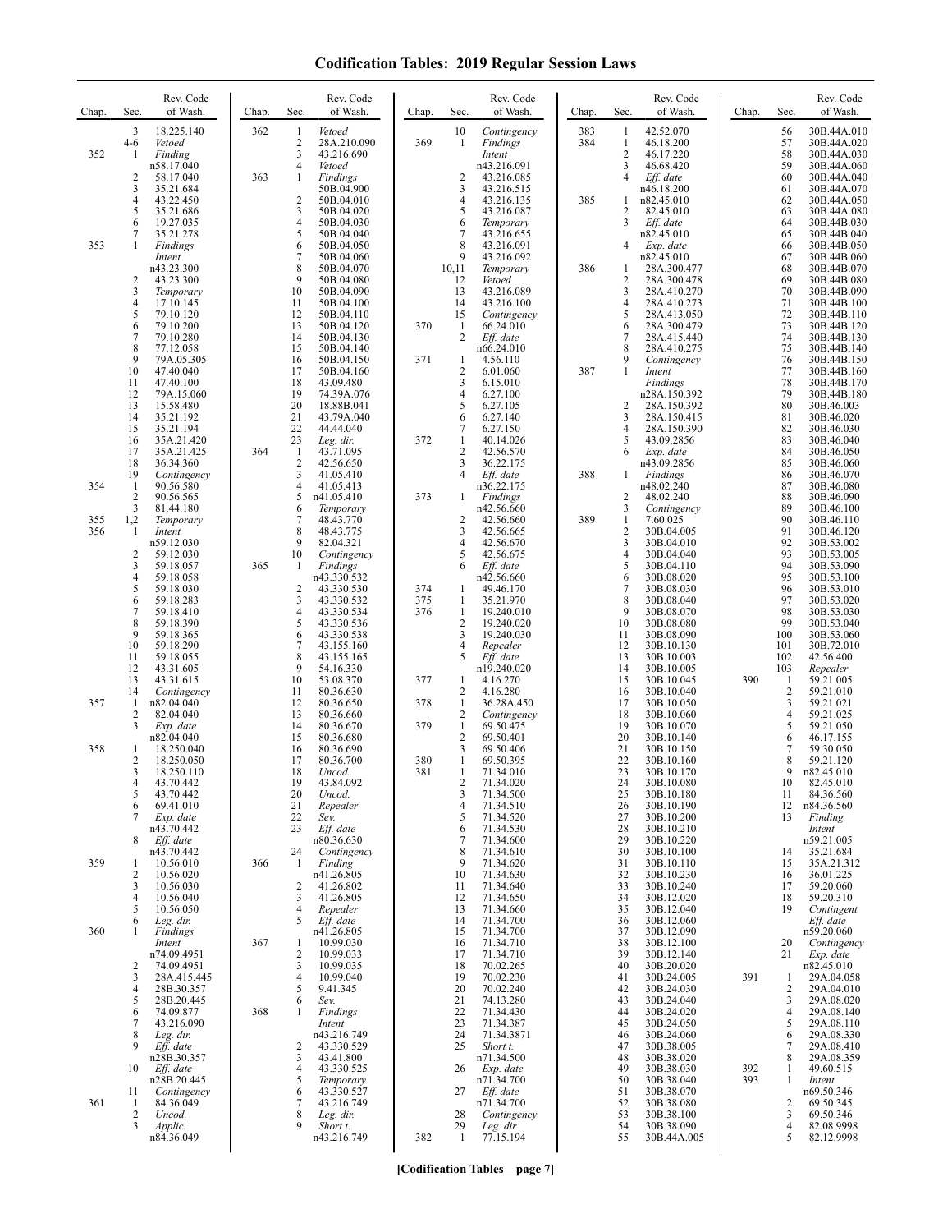| Chap.      | Sec.                         | Rev. Code<br>of Wash.     | Chap. | Sec.                           | Rev. Code<br>of Wash.     | Chap.      | Sec.                           | Rev. Code<br>of Wash.         | Chap.      | Sec.                           | Rev. Code<br>of Wash.       | Chap. | Sec.                           | Rev. Code<br>of Wash.      |
|------------|------------------------------|---------------------------|-------|--------------------------------|---------------------------|------------|--------------------------------|-------------------------------|------------|--------------------------------|-----------------------------|-------|--------------------------------|----------------------------|
|            | 3<br>$4 - 6$                 | 18.225.140<br>Vetoed      | 362   | 1<br>$\overline{2}$            | Vetoed<br>28A.210.090     | 369        | 10<br>1                        | Contingency<br>Findings       | 383<br>384 | -1<br>$\mathbf{1}$             | 42.52.070<br>46.18.200      |       | 56<br>57                       | 30B.44A.010<br>30B.44A.020 |
| 352        | -1                           | Finding<br>n58.17.040     |       | 3<br>4                         | 43.216.690<br>Vetoed      |            |                                | Intent<br>n43.216.091         |            | $\sqrt{2}$<br>3                | 46.17.220                   |       | 58<br>59                       | 30B.44A.030                |
|            | $\overline{c}$               | 58.17.040                 | 363   | 1                              | <b>Findings</b>           |            | 2                              | 43.216.085                    |            | $\overline{4}$                 | 46.68.420<br>Eff. date      |       | 60                             | 30B.44A.060<br>30B.44A.040 |
|            | 3<br>4                       | 35.21.684<br>43.22.450    |       | $\overline{c}$                 | 50B.04.900<br>50B.04.010  |            | 3<br>4                         | 43.216.515<br>43.216.135      | 385        | 1                              | n46.18.200<br>n82.45.010    |       | 61<br>62                       | 30B.44A.070<br>30B.44A.050 |
|            | 5<br>6                       | 35.21.686<br>19.27.035    |       | 3<br>$\overline{4}$            | 50B.04.020<br>50B.04.030  |            | 5<br>6                         | 43.216.087<br>Temporary       |            | $\overline{2}$<br>3            | 82.45.010<br>Eff. date      |       | 63<br>64                       | 30B.44A.080<br>30B.44B.030 |
|            | 7                            | 35.21.278                 |       | 5                              | 50B.04.040                |            | 7                              | 43.216.655                    |            |                                | n82.45.010                  |       | 65                             | 30B.44B.040                |
| 353        | 1                            | Findings<br>Intent        |       | 6<br>7                         | 50B.04.050<br>50B.04.060  |            | 8<br>9                         | 43.216.091<br>43.216.092      |            | $\overline{4}$                 | Exp. date<br>n82.45.010     |       | 66<br>67                       | 30B.44B.050<br>30B.44B.060 |
|            | $\overline{c}$               | n43.23.300<br>43.23.300   |       | 8<br>9                         | 50B.04.070<br>50B.04.080  |            | 10,11<br>12                    | Temporary<br>Vetoed           | 386        | $\mathbf{1}$<br>$\overline{c}$ | 28A.300.477<br>28A.300.478  |       | 68<br>69                       | 30B.44B.070<br>30B.44B.080 |
|            | 3<br>4                       | Temporary<br>17.10.145    |       | 10<br>11                       | 50B.04.090<br>50B.04.100  |            | 13<br>14                       | 43.216.089<br>43.216.100      |            | 3<br>$\overline{4}$            | 28A.410.270<br>28A.410.273  |       | 70<br>71                       | 30B.44B.090<br>30B.44B.100 |
|            | 5<br>6                       | 79.10.120<br>79.10.200    |       | 12<br>13                       | 50B.04.110<br>50B.04.120  | 370        | 15<br>$\mathbf{1}$             | Contingency<br>66.24.010      |            | 5<br>6                         | 28A.413.050<br>28A.300.479  |       | 72<br>73                       | 30B.44B.110<br>30B.44B.120 |
|            | 7                            | 79.10.280                 |       | 14                             | 50B.04.130                |            | $\overline{c}$                 | Eff. date                     |            | $\overline{7}$                 | 28A.415.440                 |       | 74<br>75                       | 30B.44B.130                |
|            | 8<br>9                       | 77.12.058<br>79A.05.305   |       | 15<br>16                       | 50B.04.140<br>50B.04.150  | 371        | 1                              | n66.24.010<br>4.56.110        |            | 8<br>9                         | 28A.410.275<br>Contingency  |       | 76                             | 30B.44B.140<br>30B.44B.150 |
|            | 10<br>11                     | 47.40.040<br>47.40.100    |       | 17<br>18                       | 50B.04.160<br>43.09.480   |            | $\overline{c}$<br>3            | 6.01.060<br>6.15.010          | 387        | $\mathbf{1}$                   | Intent<br>Findings          |       | 77<br>78                       | 30B.44B.160<br>30B.44B.170 |
|            | 12<br>13                     | 79A.15.060<br>15.58.480   |       | 19<br>20                       | 74.39A.076<br>18.88B.041  |            | 4<br>5                         | 6.27.100<br>6.27.105          |            | $\overline{2}$                 | n28A.150.392<br>28A.150.392 |       | 79<br>80                       | 30B.44B.180<br>30B.46.003  |
|            | 14<br>15                     | 35.21.192<br>35.21.194    |       | 21<br>22                       | 43.79A.040<br>44.44.040   |            | 6<br>7                         | 6.27.140<br>6.27.150          |            | 3<br>$\overline{4}$            | 28A.150.415<br>28A.150.390  |       | 81<br>82                       | 30B.46.020<br>30B.46.030   |
|            | 16                           | 35A.21.420                |       | 23                             | Leg. dir.                 | 372        | $\mathbf{1}$                   | 40.14.026                     |            | 5                              | 43.09.2856                  |       | 83                             | 30B.46.040                 |
|            | 17<br>18                     | 35A.21.425<br>36.34.360   | 364   | $\mathbf{1}$<br>$\overline{2}$ | 43.71.095<br>42.56.650    |            | $\overline{c}$<br>3            | 42.56.570<br>36.22.175        |            | 6                              | Exp. date<br>n43.09.2856    |       | 84<br>85                       | 30B.46.050<br>30B.46.060   |
| 354        | 19<br>-1                     | Contingency<br>90.56.580  |       | 3<br>$\overline{4}$            | 41.05.410<br>41.05.413    |            | 4                              | Eff. date<br>n36.22.175       | 388        | -1                             | Findings<br>n48.02.240      |       | 86<br>87                       | 30B.46.070<br>30B.46.080   |
|            | $\overline{\mathbf{c}}$<br>3 | 90.56.565<br>81.44.180    |       | 5<br>6                         | n41.05.410<br>Temporary   | 373        | 1                              | <b>Findings</b><br>n42.56.660 |            | $\overline{2}$<br>3            | 48.02.240<br>Contingency    |       | 88<br>89                       | 30B.46.090<br>30B.46.100   |
| 355<br>356 | 1,2<br>$\mathbf{1}$          | Temporary<br>Intent       |       | 7<br>8                         | 48.43.770<br>48.43.775    |            | $\overline{c}$<br>3            | 42.56.660<br>42.56.665        | 389        | 1<br>$\overline{2}$            | 7.60.025<br>30B.04.005      |       | 90<br>91                       | 30B.46.110<br>30B.46.120   |
|            |                              | n59.12.030                |       | 9                              | 82.04.321                 |            |                                | 42.56.670                     |            | $\mathbf{3}$                   | 30B.04.010                  |       | 92                             | 30B.53.002                 |
|            | 2<br>3                       | 59.12.030<br>59.18.057    | 365   | 10<br>-1                       | Contingency<br>Findings   |            | 5                              | 42.56.675<br>Eff. date        |            | $\overline{4}$<br>5            | 30B.04.040<br>30B.04.110    |       | 93<br>94                       | 30B.53.005<br>30B.53.090   |
|            | 4<br>5                       | 59.18.058<br>59.18.030    |       | $\overline{2}$                 | n43.330.532<br>43.330.530 | 374        | 1                              | n42.56.660<br>49.46.170       |            | 6<br>$\overline{7}$            | 30B.08.020<br>30B.08.030    |       | 95<br>96                       | 30B.53.100<br>30B.53.010   |
|            | 6<br>7                       | 59.18.283<br>59.18.410    |       | 3<br>$\overline{4}$            | 43.330.532<br>43.330.534  | 375<br>376 | $\mathbf{1}$<br>$\mathbf{1}$   | 35.21.970<br>19.240.010       |            | 8<br>9                         | 30B.08.040<br>30B.08.070    |       | 97<br>98                       | 30B.53.020<br>30B.53.030   |
|            | 8<br>9                       | 59.18.390<br>59.18.365    |       | 5<br>6                         | 43.330.536<br>43.330.538  |            | $\overline{c}$<br>3            | 19.240.020<br>19.240.030      |            | 10<br>11                       | 30B.08.080<br>30B.08.090    |       | 99<br>100                      | 30B.53.040<br>30B.53.060   |
|            | 10                           | 59.18.290                 |       | 7                              | 43.155.160                |            | 4                              | Repealer                      |            | 12                             | 30B.10.130                  |       | 101                            | 30B.72.010                 |
|            | 11<br>12                     | 59.18.055<br>43.31.605    |       | 8<br>9                         | 43.155.165<br>54.16.330   |            | 5                              | Eff. date<br>n19.240.020      |            | 13<br>14                       | 30B.10.003<br>30B.10.005    |       | 102<br>103                     | 42.56.400<br>Repealer      |
|            | 13<br>14                     | 43.31.615<br>Contingency  |       | 10<br>11                       | 53.08.370<br>80.36.630    | 377        | 1<br>2                         | 4.16.270<br>4.16.280          |            | 15<br>16                       | 30B.10.045<br>30B.10.040    | 390   | $\mathbf{1}$<br>$\overline{c}$ | 59.21.005<br>59.21.010     |
| 357        | 1<br>2                       | n82.04.040<br>82.04.040   |       | 12<br>13                       | 80.36.650<br>80.36.660    | 378        | $\mathbf{1}$<br>$\overline{c}$ | 36.28A.450<br>Contingency     |            | 17<br>18                       | 30B.10.050<br>30B.10.060    |       | 3<br>$\overline{\mathbf{4}}$   | 59.21.021<br>59.21.025     |
|            | 3                            | Exp. date<br>n82.04.040   |       | 14<br>15                       | 80.36.670<br>80.36.680    | 379        | $\mathbf{1}$<br>$\overline{2}$ | 69.50.475<br>69.50.401        |            | 19<br>20                       | 30B.10.070<br>30B.10.140    |       | 5<br>6                         | 59.21.050<br>46.17.155     |
| 358        | 1<br>$\overline{c}$          | 18.250.040                |       | 16                             | 80.36.690                 |            | 3<br>$\mathbf{1}$              | 69.50.406                     |            | 21<br>22                       | 30B.10.150                  |       | 7                              | 59.30.050                  |
|            | 3                            | 18.250.050<br>18.250.110  |       | 17<br>18                       | 80.36.700<br>Uncod.       | 380<br>381 | 1                              | 69.50.395<br>71.34.010        |            | 23                             | 30B.10.160<br>30B.10.170    |       | 8<br>9                         | 59.21.120<br>n82.45.010    |
|            | 4<br>5                       | 43.70.442<br>43.70.442    |       | 19<br>20                       | 43.84.092<br>Uncod.       |            | 2<br>3                         | 71.34.020<br>71.34.500        |            | 24<br>25                       | 30B.10.080<br>30B.10.180    |       | 10<br>11                       | 82.45.010<br>84.36.560     |
|            | 6<br>7                       | 69.41.010<br>Exp. date    |       | 21<br>22                       | Repealer<br>Sev.          |            | 4<br>5                         | 71.34.510<br>71.34.520        |            | 26<br>27                       | 30B.10.190<br>30B.10.200    |       | 12<br>13                       | n84.36.560<br>Finding      |
|            | 8                            | n43.70.442<br>Eff. date   |       | 23                             | Eff. date<br>n80.36.630   |            | 6<br>7                         | 71.34.530<br>71.34.600        |            | 28<br>29                       | 30B.10.210<br>30B.10.220    |       |                                | Intent<br>n59.21.005       |
| 359        | 1                            | n43.70.442<br>10.56.010   | 366   | 24<br>$\mathbf{1}$             | Contingency<br>Finding    |            | 8<br>9                         | 71.34.610<br>71.34.620        |            | 30<br>31                       | 30B.10.100<br>30B.10.110    |       | 14<br>15                       | 35.21.684<br>35A.21.312    |
|            | 2                            | 10.56.020                 |       |                                | n41.26.805                |            | 10                             | 71.34.630                     |            | 32                             | 30B.10.230                  |       | 16                             | 36.01.225                  |
|            | 3<br>4                       | 10.56.030<br>10.56.040    |       | 2<br>3                         | 41.26.802<br>41.26.805    |            | 11<br>12                       | 71.34.640<br>71.34.650        |            | 33<br>34                       | 30B.10.240<br>30B.12.020    |       | 17<br>18                       | 59.20.060<br>59.20.310     |
|            | 5<br>6                       | 10.56.050<br>Leg. dir.    |       | 4<br>5                         | Repealer<br>Eff. date     |            | 13<br>14                       | 71.34.660<br>71.34.700        |            | 35<br>36                       | 30B.12.040<br>30B.12.060    |       | 19                             | Contingent<br>Eff. date    |
| 360        | 1                            | Findings<br>Intent        | 367   | -1                             | n41.26.805<br>10.99.030   |            | 15<br>16                       | 71.34.700<br>71.34.710        |            | 37<br>38                       | 30B.12.090<br>30B.12.100    |       | 20                             | n59.20.060<br>Contingency  |
|            | 2                            | n74.09.4951<br>74.09.4951 |       | $\overline{2}$<br>3            | 10.99.033<br>10.99.035    |            | 17<br>18                       | 71.34.710<br>70.02.265        |            | 39<br>40                       | 30B.12.140<br>30B.20.020    |       | 21                             | Exp. date<br>n82.45.010    |
|            | 3                            | 28A.415.445               |       | $\overline{4}$                 | 10.99.040                 |            | 19                             | 70.02.230                     |            | 41                             | 30B.24.005                  | 391   | 1                              | 29A.04.058                 |
|            | 4<br>5                       | 28B.30.357<br>28B.20.445  |       | 5<br>6                         | 9.41.345<br>Sev.          |            | 20<br>21                       | 70.02.240<br>74.13.280        |            | 42<br>43                       | 30B.24.030<br>30B.24.040    |       | 2<br>3                         | 29A.04.010<br>29A.08.020   |
|            | 6<br>7                       | 74.09.877<br>43.216.090   | 368   | 1                              | Findings<br>Intent        |            | 22<br>23                       | 71.34.430<br>71.34.387        |            | 44<br>45                       | 30B.24.020<br>30B.24.050    |       | 4<br>5                         | 29A.08.140<br>29A.08.110   |
|            | 8<br>9                       | Leg. dir.<br>Eff. date    |       | 2                              | n43.216.749<br>43.330.529 |            | 24<br>25                       | 71.34.3871<br>Short t.        |            | 46<br>47                       | 30B.24.060<br>30B.38.005    |       | 6<br>7                         | 29A.08.330<br>29A.08.410   |
|            | 10                           | n28B.30.357<br>Eff. date  |       | 3<br>$\overline{4}$            | 43.41.800<br>43.330.525   |            | 26                             | n71.34.500<br>Exp. date       |            | 48<br>49                       | 30B.38.020<br>30B.38.030    | 392   | 8<br>1                         | 29A.08.359<br>49.60.515    |
|            |                              | n28B.20.445               |       | 5                              | Temporary<br>43.330.527   |            |                                | n71.34.700                    |            | 50                             | 30B.38.040                  | 393   | 1                              | Intent                     |
| 361        | 11<br>1                      | Contingency<br>84.36.049  |       | 6<br>7                         | 43.216.749                |            | 27                             | Eff. date<br>n71.34.700       |            | 51<br>52                       | 30B.38.070<br>30B.38.080    |       | 2                              | n69.50.346<br>69.50.345    |
|            | $\overline{c}$<br>3          | Uncod.<br>Applic.         |       | 8<br>9                         | Leg. dir.<br>Short t.     |            | 28<br>29                       | Contingency<br>Leg. dir.      |            | 53<br>54                       | 30B.38.100<br>30B.38.090    |       | 3<br>4                         | 69.50.346<br>82.08.9998    |
|            |                              | n84.36.049                |       |                                | n43.216.749               | 382        | $\mathbf{1}$                   | 77.15.194                     |            | 55                             | 30B.44A.005                 |       | 5                              | 82.12.9998                 |

**[Codification Tables—page 7]**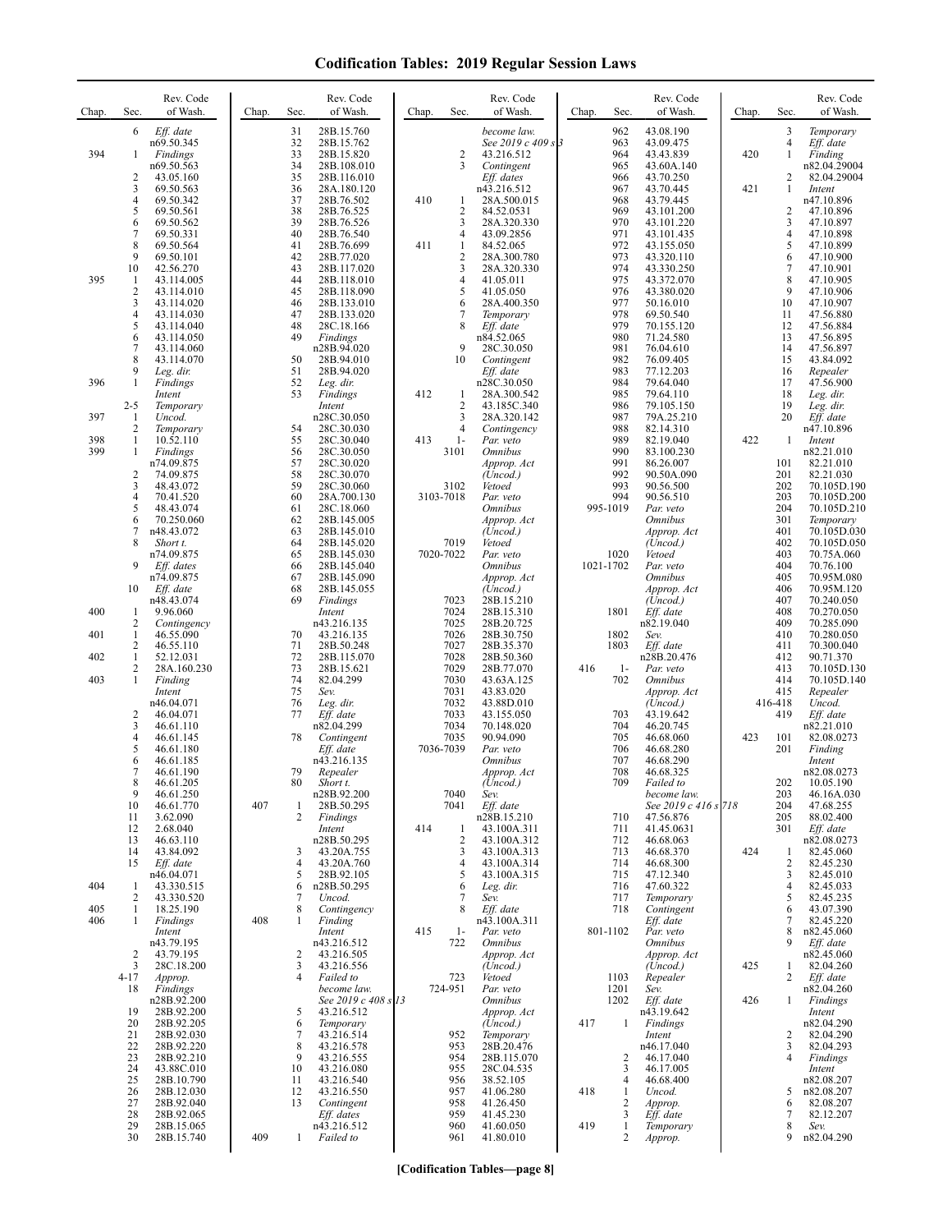| Chap.             | Sec.                                           | Rev. Code<br>of Wash.                                              | Chap. | Sec.                   | Rev. Code<br>of Wash.                                             | Chap. | Sec.                         | Rev. Code<br>of Wash.                                            | Chap. | Sec.                      | Rev. Code<br>of Wash.                                                | Chap. | Sec.                            | Rev. Code<br>of Wash.                                               |
|-------------------|------------------------------------------------|--------------------------------------------------------------------|-------|------------------------|-------------------------------------------------------------------|-------|------------------------------|------------------------------------------------------------------|-------|---------------------------|----------------------------------------------------------------------|-------|---------------------------------|---------------------------------------------------------------------|
| 394               | 6<br>1                                         | Eff. date<br>n69.50.345<br>Findings<br>n69.50.563                  |       | 31<br>32<br>33<br>34   | 28B.15.760<br>28B.15.762<br>28B.15.820<br>28B.108.010             |       | 2<br>3                       | become law.<br>See 2019 c 409 s 3<br>43.216.512<br>Contingent    |       | 962<br>963<br>964<br>965  | 43.08.190<br>43.09.475<br>43.43.839<br>43.60A.140                    | 420   | 3<br>4<br>1                     | Temporary<br>Eff. date<br>Finding<br>n82.04.29004                   |
|                   | $\overline{2}$<br>3<br>4<br>5                  | 43.05.160<br>69.50.563<br>69.50.342<br>69.50.561                   |       | 35<br>36<br>37<br>38   | 28B.116.010<br>28A.180.120<br>28B.76.502<br>28B.76.525            | 410   | 1<br>2                       | Eff. dates<br>n43.216.512<br>28A.500.015<br>84.52.0531           |       | 966<br>967<br>968<br>969  | 43.70.250<br>43.70.445<br>43.79.445<br>43.101.200                    | 421   | 2<br>1<br>2                     | 82.04.29004<br>Intent<br>n47.10.896<br>47.10.896                    |
|                   | 6<br>7<br>$\,$ 8 $\,$<br>9                     | 69.50.562<br>69.50.331<br>69.50.564<br>69.50.101                   |       | 39<br>40<br>41<br>42   | 28B.76.526<br>28B.76.540<br>28B.76.699<br>28B.77.020              | 411   | 3<br>4<br>1<br>2             | 28A.320.330<br>43.09.2856<br>84.52.065<br>28A.300.780            |       | 970<br>971<br>972<br>973  | 43.101.220<br>43.101.435<br>43.155.050<br>43.320.110                 |       | 3<br>4<br>5<br>6                | 47.10.897<br>47.10.898<br>47.10.899<br>47.10.900                    |
| 395               | 10<br>-1<br>$\overline{2}$<br>3                | 42.56.270<br>43.114.005<br>43.114.010<br>43.114.020                |       | 43<br>44<br>45<br>46   | 28B.117.020<br>28B.118.010<br>28B.118.090<br>28B.133.010          |       | 3<br>4<br>5<br>6             | 28A.320.330<br>41.05.011<br>41.05.050<br>28A.400.350             |       | 974<br>975<br>976<br>977  | 43.330.250<br>43.372.070<br>43.380.020<br>50.16.010                  |       | 7<br>8<br>9<br>10               | 47.10.901<br>47.10.905<br>47.10.906<br>47.10.907                    |
|                   | 4<br>5<br>6<br>7                               | 43.114.030<br>43.114.040<br>43.114.050<br>43.114.060               |       | 47<br>48<br>49         | 28B.133.020<br>28C.18.166<br>Findings<br>n28B.94.020              |       | 7<br>8<br>9                  | Temporary<br>Eff. date<br>n84.52.065<br>28C.30.050               |       | 978<br>979<br>980<br>981  | 69.50.540<br>70.155.120<br>71.24.580<br>76.04.610                    |       | 11<br>12<br>13<br>14            | 47.56.880<br>47.56.884<br>47.56.895<br>47.56.897                    |
| 396               | 8<br>9<br>$\mathbf{1}$                         | 43.114.070<br>Leg. dir.<br>Findings<br>Intent                      |       | 50<br>51<br>52<br>53   | 28B.94.010<br>28B.94.020<br>Leg. dir.<br>Findings                 | 412   | 10<br>1                      | Contingent<br>Eff. date<br>n28C.30.050<br>28A.300.542            |       | 982<br>983<br>984<br>985  | 76.09.405<br>77.12.203<br>79.64.040<br>79.64.110                     |       | 15<br>16<br>17<br>18            | 43.84.092<br>Repealer<br>47.56.900<br>Leg. dir.                     |
| 397<br>398        | $2 - 5$<br>1<br>$\overline{2}$<br>$\mathbf{1}$ | Temporary<br>Uncod.<br>Temporary<br>10.52.110                      |       | 54<br>55               | Intent<br>n28C.30.050<br>28C.30.030<br>28C.30.040                 | 413   | 2<br>3<br>4<br>$1-$          | 43.185C.340<br>28A.320.142<br>Contingency<br>Par. veto           |       | 986<br>987<br>988<br>989  | 79.105.150<br>79A.25.210<br>82.14.310<br>82.19.040                   | 422   | 19<br>20<br>1                   | Leg. dir.<br>Eff. date<br>n47.10.896<br>Intent                      |
| 399               | 1<br>$\overline{2}$<br>3                       | Findings<br>n74.09.875<br>74.09.875<br>48.43.072                   |       | 56<br>57<br>58<br>59   | 28C.30.050<br>28C.30.020<br>28C.30.070<br>28C.30.060              |       | 3101<br>3102                 | <i><b>Omnibus</b></i><br>Approp. Act<br>(Uncod.)<br>Vetoed       |       | 990<br>991<br>992<br>993  | 83.100.230<br>86.26.007<br>90.50A.090<br>90.56.500                   |       | 101<br>201<br>202               | n82.21.010<br>82.21.010<br>82.21.030<br>70.105D.190                 |
|                   | 4<br>5<br>6<br>7                               | 70.41.520<br>48.43.074<br>70.250.060<br>n48.43.072                 |       | 60<br>61<br>62<br>63   | 28A.700.130<br>28C.18.060<br>28B.145.005<br>28B.145.010           |       | 3103-7018                    | Par. veto<br><i><b>Omnibus</b></i><br>Approp. Act<br>(Uncod.)    |       | 994<br>995-1019           | 90.56.510<br>Par. veto<br><i><b>Omnibus</b></i><br>Approp. Act       |       | 203<br>204<br>301<br>401        | 70.105D.200<br>70.105D.210<br>Temporary<br>70.105D.030              |
|                   | 8<br>9                                         | Short t.<br>n74.09.875<br>Eff. dates<br>n74.09.875                 |       | 64<br>65<br>66<br>67   | 28B.145.020<br>28B.145.030<br>28B.145.040<br>28B.145.090          |       | 7019<br>7020-7022            | Vetoed<br>Par. veto<br><i><b>Omnibus</b></i><br>Approp. Act      |       | 1020<br>1021-1702         | (Uncod.)<br>Vetoed<br>Par. veto<br><b>Omnibus</b>                    |       | 402<br>403<br>404<br>405        | 70.105D.050<br>70.75A.060<br>70.76.100<br>70.95M.080                |
| 400<br>401        | 10<br>1<br>2<br>$\mathbf{1}$                   | Eff. date<br>n48.43.074<br>9.96.060<br>Contingency<br>46.55.090    |       | 68<br>69<br>70         | 28B.145.055<br>Findings<br>Intent<br>n43.216.135<br>43.216.135    |       | 7023<br>7024<br>7025<br>7026 | (Uncod.)<br>28B.15.210<br>28B.15.310<br>28B.20.725<br>28B.30.750 |       | 1801<br>1802              | Approp. Act<br>(Uncod.)<br>Eff. date<br>n82.19.040<br>Sev.           |       | 406<br>407<br>408<br>409<br>410 | 70.95M.120<br>70.240.050<br>70.270.050<br>70.285.090                |
| 402<br>403        | 2<br>$\mathbf{1}$<br>2<br>1                    | 46.55.110<br>52.12.031<br>28A.160.230<br>Finding                   |       | 71<br>72<br>73<br>74   | 28B.50.248<br>28B.115.070<br>28B.15.621<br>82.04.299              |       | 7027<br>7028<br>7029<br>7030 | 28B.35.370<br>28B.50.360<br>28B.77.070<br>43.63A.125             | 416   | 1803<br>$1-$<br>702       | Eff. date<br>n28B.20.476<br>Par. veto<br><i><b>Omnibus</b></i>       |       | 411<br>412<br>413<br>414        | 70.280.050<br>70.300.040<br>90.71.370<br>70.105D.130<br>70.105D.140 |
|                   | 2<br>3                                         | Intent<br>n46.04.071<br>46.04.071<br>46.61.110                     |       | 75<br>76<br>77         | Sev.<br>Leg. dir.<br>Eff. date<br>n82.04.299                      |       | 7031<br>7032<br>7033<br>7034 | 43.83.020<br>43.88D.010<br>43.155.050<br>70.148.020              |       | 703<br>704                | Approp. Act<br>(Uncod.)<br>43.19.642<br>46.20.745                    |       | 415<br>416-418<br>419           | Repealer<br>Uncod.<br>Eff. date<br>n82.21.010                       |
|                   | 4<br>5<br>6<br>7                               | 46.61.145<br>46.61.180<br>46.61.185<br>46.61.190                   |       | 78<br>79               | Contingent<br>Eff. date<br>n43.216.135<br>Repealer                |       | 7035<br>7036-7039            | 90.94.090<br>Par. veto<br><i><b>Omnibus</b></i><br>Approp. Act   |       | 705<br>706<br>707<br>708  | 46.68.060<br>46.68.280<br>46.68.290<br>46.68.325                     | 423   | 101<br>201                      | 82.08.0273<br>Finding<br>Intent<br>n82.08.0273                      |
|                   | 8<br>9<br>10<br>11                             | 46.61.205<br>46.61.250<br>46.61.770<br>3.62.090                    | 407   | 80<br>1<br>2           | Short t.<br>n28B.92.200<br>28B.50.295<br>Findings                 |       | 7040<br>7041                 | (Uncod.)<br>Sev.<br>Eff. date<br>n28B.15.210                     |       | 709<br>710                | <i>Failed to</i><br>become law.<br>See 2019 c 416 s 718<br>47.56.876 |       | 202<br>203<br>204<br>205        | 10.05.190<br>46.16A.030<br>47.68.255<br>88.02.400                   |
|                   | 12<br>13<br>14<br>15                           | 2.68.040<br>46.63.110<br>43.84.092<br>Eff. date                    |       | 3<br>$\overline{4}$    | Intent<br>n28B.50.295<br>43.20A.755<br>43.20A.760                 | 414   | 1<br>2<br>3<br>4             | 43.100A.311<br>43.100A.312<br>43.100A.313<br>43.100A.314         |       | 711<br>712<br>713<br>714  | 41.45.0631<br>46.68.063<br>46.68.370<br>46.68.300                    | 424   | 301<br>1<br>2                   | Eff. date<br>n82.08.0273<br>82.45.060<br>82.45.230                  |
| 404<br>405<br>406 | 1<br>2<br>$\mathbf{1}$<br>1                    | n46.04.071<br>43.330.515<br>43.330.520<br>18.25.190<br>Findings    | 408   | 5<br>6<br>7<br>8<br>1  | 28B.92.105<br>n28B.50.295<br>Uncod.<br>Contingency<br>Finding     |       | 5<br>6<br>7<br>8             | 43.100A.315<br>Leg. dir.<br>Sev.<br>Eff. date<br>n43.100A.311    |       | 715<br>716<br>717<br>718  | 47.12.340<br>47.60.322<br>Temporary<br>Contingent<br>Eff. date       |       | 3<br>4<br>5<br>6<br>7           | 82.45.010<br>82.45.033<br>82.45.235<br>43.07.390<br>82.45.220       |
|                   | $\overline{2}$<br>3                            | Intent<br>n43.79.195<br>43.79.195<br>28C.18.200                    |       | 2<br>3                 | Intent<br>n43.216.512<br>43.216.505<br>43.216.556                 | 415   | $1-$<br>722                  | Par. veto<br><i><b>Omnibus</b></i><br>Approp. Act<br>(Uncod.)    |       | 801-1102                  | Par. veto<br><i><b>Omnibus</b></i><br>Approp. Act<br>(Uncod.)        | 425   | 8<br>9<br>1                     | n82.45.060<br>$Eff.$ date<br>n82.45.060<br>82.04.260                |
|                   | $4 - 17$<br>18<br>19                           | Approp.<br>Findings<br>n28B.92.200<br>28B.92.200                   |       | 4<br>5                 | Failed to<br>become law.<br>See 2019 c 408 s 13<br>43.216.512     |       | 723<br>724-951               | Vetoed<br>Par. veto<br><b>Omnibus</b><br>Approp. Act             |       | 1103<br>1201<br>1202      | Repealer<br>Sev.<br>Eff. date<br>n43.19.642                          | 426   | 2<br>1                          | Eff. date<br>n82.04.260<br>Findings<br>Intent                       |
|                   | 20<br>21<br>22<br>23<br>24                     | 28B.92.205<br>28B.92.030<br>28B.92.220<br>28B.92.210<br>43.88C.010 |       | 6<br>7<br>8<br>9<br>10 | Temporary<br>43.216.514<br>43.216.578<br>43.216.555<br>43.216.080 |       | 952<br>953<br>954<br>955     | (Uncod.)<br>Temporary<br>28B.20.476<br>28B.115.070<br>28C.04.535 | 417   | -1<br>$\overline{c}$<br>3 | Findings<br>Intent<br>n46.17.040<br>46.17.040<br>46.17.005           |       | 2<br>3<br>4                     | n82.04.290<br>82.04.290<br>82.04.293<br>Findings<br>Intent          |
|                   | 25<br>26<br>27<br>28                           | 28B.10.790<br>28B.12.030<br>28B.92.040<br>28B.92.065               |       | 11<br>12<br>13         | 43.216.540<br>43.216.550<br>Contingent<br>Eff. dates              |       | 956<br>957<br>958<br>959     | 38.52.105<br>41.06.280<br>41.26.450<br>41.45.230                 | 418   | 4<br>-1<br>2<br>3         | 46.68.400<br>Uncod.<br>Approp.<br>Eff. date                          |       | 5<br>6<br>7                     | n82.08.207<br>n82.08.207<br>82.08.207<br>82.12.207                  |
|                   | 29<br>30                                       | 28B.15.065<br>28B.15.740                                           | 409   | $\mathbf{1}$           | n43.216.512<br>Failed to                                          |       | 960<br>961                   | 41.60.050<br>41.80.010                                           | 419   | 1<br>2                    | Temporary<br>Approp.                                                 |       | 8<br>9                          | Sev.<br>n82.04.290                                                  |

**[Codification Tables—page 8]**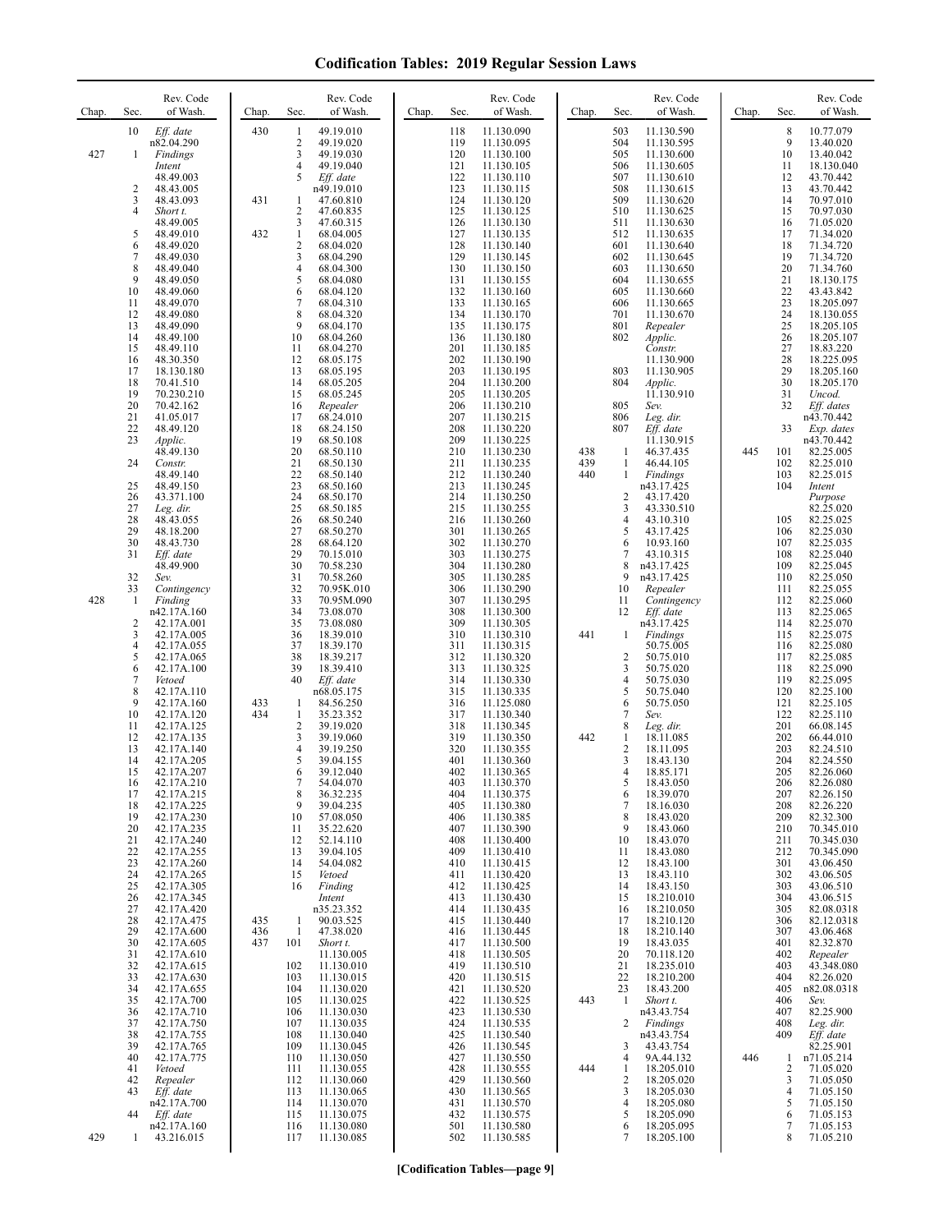| Chap. | Rev. Code<br>Sec.<br>of Wash.                                                                                                                                                                                                                                                                                                                                                                                                                                                                                                                                                                                                                                                                                                                                                                                                                                                                                                                                                                                                                                                                                                                                                                                                                                                                                                                                                                                                                                                                                       | Rev. Code<br>of Wash.<br>Chap.<br>Sec.                                                                                                                                                                                                                                                                                                                                                                                                                                                                                                                                                                                                                                                                                                                                                                                                                                                                                                                                                                                                                                                                                                                                                                                                                                                                                                                                                                                                                                                                                                                                                           | Rev. Code<br>of Wash.<br>Chap.<br>Sec.                                                                                                                                                                                                                                                                                                                                                                                                                                                                                                                                                                                                                                                                                                                                                                                                                                                                                                                                                                                                                                                                                                                                                                                                                                                                                                                                                                                                                                                                                                                                                                                                                                                             | Rev. Code<br>of Wash.<br>Chap.<br>Sec.                                                                                                                                                                                                                                                                                                                                                                                                                                                                                                                                                                                                                                                                                                                                                                                                                                                                                                                                                                                                                                                                                                                                                                                                                                                                                                                                                                                                                                                                                                                                                                                                          | Rev. Code<br>of Wash.<br>Chap.<br>Sec.                                                                                                                                                                                                                                                                                                                                                                                                                                                                                                                                                                                                                                                                                                                                                                                                                                                                                                                                                                                                                                                                                                                                                                                                                                                                                                                                                                                                                                                                                                                                   |
|-------|---------------------------------------------------------------------------------------------------------------------------------------------------------------------------------------------------------------------------------------------------------------------------------------------------------------------------------------------------------------------------------------------------------------------------------------------------------------------------------------------------------------------------------------------------------------------------------------------------------------------------------------------------------------------------------------------------------------------------------------------------------------------------------------------------------------------------------------------------------------------------------------------------------------------------------------------------------------------------------------------------------------------------------------------------------------------------------------------------------------------------------------------------------------------------------------------------------------------------------------------------------------------------------------------------------------------------------------------------------------------------------------------------------------------------------------------------------------------------------------------------------------------|--------------------------------------------------------------------------------------------------------------------------------------------------------------------------------------------------------------------------------------------------------------------------------------------------------------------------------------------------------------------------------------------------------------------------------------------------------------------------------------------------------------------------------------------------------------------------------------------------------------------------------------------------------------------------------------------------------------------------------------------------------------------------------------------------------------------------------------------------------------------------------------------------------------------------------------------------------------------------------------------------------------------------------------------------------------------------------------------------------------------------------------------------------------------------------------------------------------------------------------------------------------------------------------------------------------------------------------------------------------------------------------------------------------------------------------------------------------------------------------------------------------------------------------------------------------------------------------------------|----------------------------------------------------------------------------------------------------------------------------------------------------------------------------------------------------------------------------------------------------------------------------------------------------------------------------------------------------------------------------------------------------------------------------------------------------------------------------------------------------------------------------------------------------------------------------------------------------------------------------------------------------------------------------------------------------------------------------------------------------------------------------------------------------------------------------------------------------------------------------------------------------------------------------------------------------------------------------------------------------------------------------------------------------------------------------------------------------------------------------------------------------------------------------------------------------------------------------------------------------------------------------------------------------------------------------------------------------------------------------------------------------------------------------------------------------------------------------------------------------------------------------------------------------------------------------------------------------------------------------------------------------------------------------------------------------|-------------------------------------------------------------------------------------------------------------------------------------------------------------------------------------------------------------------------------------------------------------------------------------------------------------------------------------------------------------------------------------------------------------------------------------------------------------------------------------------------------------------------------------------------------------------------------------------------------------------------------------------------------------------------------------------------------------------------------------------------------------------------------------------------------------------------------------------------------------------------------------------------------------------------------------------------------------------------------------------------------------------------------------------------------------------------------------------------------------------------------------------------------------------------------------------------------------------------------------------------------------------------------------------------------------------------------------------------------------------------------------------------------------------------------------------------------------------------------------------------------------------------------------------------------------------------------------------------------------------------------------------------|--------------------------------------------------------------------------------------------------------------------------------------------------------------------------------------------------------------------------------------------------------------------------------------------------------------------------------------------------------------------------------------------------------------------------------------------------------------------------------------------------------------------------------------------------------------------------------------------------------------------------------------------------------------------------------------------------------------------------------------------------------------------------------------------------------------------------------------------------------------------------------------------------------------------------------------------------------------------------------------------------------------------------------------------------------------------------------------------------------------------------------------------------------------------------------------------------------------------------------------------------------------------------------------------------------------------------------------------------------------------------------------------------------------------------------------------------------------------------------------------------------------------------------------------------------------------------|
| 427   | 10<br>Eff. date<br>n82.04.290<br>Findings<br>-1                                                                                                                                                                                                                                                                                                                                                                                                                                                                                                                                                                                                                                                                                                                                                                                                                                                                                                                                                                                                                                                                                                                                                                                                                                                                                                                                                                                                                                                                     | 430<br>49.19.010<br>1<br>2<br>49.19.020<br>3<br>49.19.030                                                                                                                                                                                                                                                                                                                                                                                                                                                                                                                                                                                                                                                                                                                                                                                                                                                                                                                                                                                                                                                                                                                                                                                                                                                                                                                                                                                                                                                                                                                                        | 118<br>11.130.090<br>119<br>11.130.095<br>120<br>11.130.100                                                                                                                                                                                                                                                                                                                                                                                                                                                                                                                                                                                                                                                                                                                                                                                                                                                                                                                                                                                                                                                                                                                                                                                                                                                                                                                                                                                                                                                                                                                                                                                                                                        | 503<br>11.130.590<br>504<br>11.130.595<br>505<br>11.130.600                                                                                                                                                                                                                                                                                                                                                                                                                                                                                                                                                                                                                                                                                                                                                                                                                                                                                                                                                                                                                                                                                                                                                                                                                                                                                                                                                                                                                                                                                                                                                                                     | $\,$ 8 $\,$<br>10.77.079<br>9<br>13.40.020<br>10<br>13.40.042                                                                                                                                                                                                                                                                                                                                                                                                                                                                                                                                                                                                                                                                                                                                                                                                                                                                                                                                                                                                                                                                                                                                                                                                                                                                                                                                                                                                                                                                                                            |
| 428   | Intent<br>48.49.003<br>2<br>48.43.005<br>3<br>48.43.093<br>4<br>Short t.<br>48.49.005<br>5<br>48.49.010<br>6<br>48.49.020<br>7<br>48.49.030<br>8<br>48.49.040<br>9<br>48.49.050<br>10<br>48.49.060<br>11<br>48.49.070<br>12<br>48.49.080<br>13<br>48.49.090<br>14<br>48.49.100<br>15<br>48.49.110<br>16<br>48.30.350<br>17<br>18.130.180<br>18<br>70.41.510<br>19<br>70.230.210<br>20<br>70.42.162<br>21<br>41.05.017<br>22<br>48.49.120<br>23<br>Applic.<br>48.49.130<br>24<br>Constr.<br>48.49.140<br>25<br>48.49.150<br>26<br>43.371.100<br>27<br>Leg. dir.<br>28<br>48.43.055<br>29<br>48.18.200<br>30<br>48.43.730<br>31<br>Eff. date<br>48.49.900<br>32<br>Sev.<br>33<br>Contingency<br>-1<br>Finding<br>n42.17A.160<br>$\overline{2}$<br>42.17A.001<br>3<br>42.17A.005<br>4<br>42.17A.055<br>5<br>42.17A.065<br>6<br>42.17A.100<br>7<br>Vetoed<br>8<br>42.17A.110<br>9<br>42.17A.160<br>10<br>42.17A.120<br>11<br>42.17A.125<br>12<br>42.17A.135<br>13<br>42.17A.140<br>14<br>42.17A.205<br>15<br>42.17A.207<br>16<br>42.17A.210<br>17<br>42.17A.215<br>42.17A.225<br>18<br>19<br>42.17A.230<br>42.17A.235<br>20<br>21<br>42.17A.240<br>22<br>42.17A.255<br>23<br>42.17A.260<br>24<br>42.17A.265<br>25<br>42.17A.305<br>26<br>42.17A.345<br>27<br>42.17A.420<br>28<br>42.17A.475<br>29<br>42.17A.600<br>30<br>42.17A.605<br>31<br>42.17A.610<br>32<br>42.17A.615<br>33<br>42.17A.630<br>34<br>42.17A.655<br>35<br>42.17A.700<br>42.17A.710<br>36<br>37<br>42.17A.750<br>38<br>42.17A.755<br>39<br>42.17A.765 | 4<br>49.19.040<br>5<br>Eff. date<br>n49.19.010<br>431<br>47.60.810<br>1<br>2<br>47.60.835<br>3<br>47.60.315<br>432<br>$\mathbf{1}$<br>68.04.005<br>$\mathbf{2}$<br>68.04.020<br>3<br>68.04.290<br>4<br>68.04.300<br>5<br>68.04.080<br>6<br>68.04.120<br>$\overline{7}$<br>68.04.310<br>8<br>68.04.320<br>9<br>68.04.170<br>10<br>68.04.260<br>11<br>68.04.270<br>12<br>68.05.175<br>13<br>68.05.195<br>14<br>68.05.205<br>15<br>68.05.245<br>16<br>Repealer<br>68.24.010<br>17<br>18<br>68.24.150<br>19<br>68.50.108<br>20<br>68.50.110<br>21<br>68.50.130<br>22<br>68.50.140<br>23<br>68.50.160<br>24<br>68.50.170<br>25<br>68.50.185<br>26<br>68.50.240<br>27<br>68.50.270<br>28<br>68.64.120<br>29<br>70.15.010<br>30<br>70.58.230<br>31<br>70.58.260<br>32<br>70.95K.010<br>33<br>70.95M.090<br>34<br>73.08.070<br>35<br>73.08.080<br>36<br>18.39.010<br>37<br>18.39.170<br>38<br>18.39.217<br>39<br>18.39.410<br>40<br>Eff. date<br>n68.05.175<br>433<br>84.56.250<br>1<br>434<br>1<br>35.23.352<br>$\overline{\mathbf{c}}$<br>39.19.020<br>3<br>39.19.060<br>4<br>39.19.250<br>5<br>39.04.155<br>6<br>39.12.040<br>54.04.070<br>8<br>36.32.235<br>9<br>39.04.235<br>10<br>57.08.050<br>35.22.620<br>11<br>12<br>52.14.110<br>13<br>39.04.105<br>54.04.082<br>14<br>15<br>Vetoed<br>16<br>Finding<br>Intent<br>n35.23.352<br>435<br>90.03.525<br>1<br>436<br>1<br>47.38.020<br>437<br>101<br>Short t.<br>11.130.005<br>102<br>11.130.010<br>103<br>11.130.015<br>104<br>11.130.020<br>105<br>11.130.025<br>106<br>11.130.030<br>107<br>11.130.035<br>108<br>11.130.040<br>109<br>11.130.045 | 121<br>11.130.105<br>122<br>11.130.110<br>123<br>11.130.115<br>124<br>11.130.120<br>125<br>11.130.125<br>126<br>11.130.130<br>127<br>11.130.135<br>128<br>11.130.140<br>129<br>11.130.145<br>130<br>11.130.150<br>131<br>11.130.155<br>132<br>11.130.160<br>133<br>11.130.165<br>134<br>11.130.170<br>135<br>11.130.175<br>136<br>11.130.180<br>201<br>11.130.185<br>202<br>11.130.190<br>203<br>11.130.195<br>204<br>11.130.200<br>205<br>11.130.205<br>206<br>11.130.210<br>207<br>11.130.215<br>208<br>11.130.220<br>209<br>11.130.225<br>210<br>11.130.230<br>211<br>11.130.235<br>212<br>11.130.240<br>213<br>11.130.245<br>214<br>11.130.250<br>215<br>11.130.255<br>216<br>11.130.260<br>301<br>11.130.265<br>302<br>11.130.270<br>303<br>11.130.275<br>304<br>11.130.280<br>305<br>11.130.285<br>306<br>11.130.290<br>307<br>11.130.295<br>308<br>11.130.300<br>309<br>11.130.305<br>310<br>11.130.310<br>311<br>11.130.315<br>312<br>11.130.320<br>313<br>11.130.325<br>314<br>11.130.330<br>315<br>11.130.335<br>316<br>11.125.080<br>317<br>11.130.340<br>318<br>11.130.345<br>319<br>11.130.350<br>320<br>11.130.355<br>401<br>11.130.360<br>402<br>11.130.365<br>403<br>11.130.370<br>404<br>11.130.375<br>11.130.380<br>405<br>406<br>11.130.385<br>11.130.390<br>407<br>408<br>11.130.400<br>409<br>11.130.410<br>11.130.415<br>410<br>11.130.420<br>411<br>412<br>11.130.425<br>413<br>11.130.430<br>414<br>11.130.435<br>415<br>11.130.440<br>11.130.445<br>416<br>417<br>11.130.500<br>418<br>11.130.505<br>419<br>11.130.510<br>420<br>11.130.515<br>421<br>11.130.520<br>422<br>11.130.525<br>423<br>11.130.530<br>424<br>11.130.535<br>425<br>11.130.540<br>426<br>11.130.545 | 506<br>11.130.605<br>507<br>11.130.610<br>508<br>11.130.615<br>509<br>11.130.620<br>510<br>11.130.625<br>511<br>11.130.630<br>512<br>11.130.635<br>601<br>11.130.640<br>602<br>11.130.645<br>603<br>11.130.650<br>604<br>11.130.655<br>605<br>11.130.660<br>606<br>11.130.665<br>701<br>11.130.670<br>801<br>Repealer<br>802<br>Applic.<br>Constr.<br>11.130.900<br>803<br>11.130.905<br>804<br><i>Applic.</i><br>11.130.910<br>805<br>Sev.<br>806<br>Leg. dir.<br>807<br>Eff. date<br>11.130.915<br>438<br>1<br>46.37.435<br>439<br>1<br>46.44.105<br>440<br>Findings<br>1<br>n43.17.425<br>$\overline{2}$<br>43.17.420<br>3<br>43.330.510<br>4<br>43.10.310<br>5<br>43.17.425<br>6<br>10.93.160<br>$\tau$<br>43.10.315<br>8<br>n43.17.425<br>9<br>n43.17.425<br>10<br>Repealer<br>11<br>Contingency<br>12<br>Eff. date<br>n43.17.425<br>441<br>Findings<br>1<br>50.75.005<br>$\overline{\mathbf{c}}$<br>50.75.010<br>3<br>50.75.020<br>$\overline{4}$<br>50.75.030<br>5<br>50.75.040<br>6<br>50.75.050<br>7<br>Sev.<br>8<br>Leg. dir.<br>442<br>$\mathbf{1}$<br>18.11.085<br>$\overline{c}$<br>18.11.095<br>$\overline{3}$<br>18.43.130<br>$\overline{4}$<br>18.85.171<br>18.43.050<br>5<br>18.39.070<br>6<br>$\tau$<br>18.16.030<br>8<br>18.43.020<br>18.43.060<br>9<br>18.43.070<br>10<br>18.43.080<br>11<br>12<br>18.43.100<br>18.43.110<br>13<br>14<br>18.43.150<br>15<br>18.210.010<br>18.210.050<br>16<br>17<br>18.210.120<br>18.210.140<br>18<br>19<br>18.43.035<br>20<br>70.118.120<br>21<br>18.235.010<br>22<br>18.210.200<br>23<br>18.43.200<br>443<br>1<br>Short t.<br>n43.43.754<br>2<br>Findings<br>n43.43.754<br>3<br>43.43.754 | 11<br>18.130.040<br>12<br>43.70.442<br>13<br>43.70.442<br>14<br>70.97.010<br>15<br>70.97.030<br>16<br>71.05.020<br>17<br>71.34.020<br>18<br>71.34.720<br>19<br>71.34.720<br>20<br>71.34.760<br>21<br>18.130.175<br>22<br>43.43.842<br>23<br>18.205.097<br>24<br>18.130.055<br>25<br>18.205.105<br>26<br>18.205.107<br>27<br>18.83.220<br>28<br>18.225.095<br>29<br>18.205.160<br>30<br>18.205.170<br>31<br>Uncod.<br>32<br>Eff. dates<br>n43.70.442<br>33<br>Exp. dates<br>n43.70.442<br>445<br>101<br>82.25.005<br>102<br>82.25.010<br>103<br>82.25.015<br>104<br>Intent<br>Purpose<br>82.25.020<br>105<br>82.25.025<br>82.25.030<br>106<br>107<br>82.25.035<br>108<br>82.25.040<br>109<br>82.25.045<br>82.25.050<br>110<br>111<br>82.25.055<br>82.25.060<br>112<br>113<br>82.25.065<br>82.25.070<br>114<br>82.25.075<br>115<br>82.25.080<br>116<br>117<br>82.25.085<br>118<br>82.25.090<br>119<br>82.25.095<br>120<br>82.25.100<br>121<br>82.25.105<br>122<br>82.25.110<br>201<br>66.08.145<br>202<br>66.44.010<br>203<br>82.24.510<br>204<br>82.24.550<br>205<br>82.26.060<br>206<br>82.26.080<br>207<br>82.26.150<br>208<br>82.26.220<br>209<br>82.32.300<br>210<br>70.345.010<br>211<br>70.345.030<br>212<br>70.345.090<br>301<br>43.06.450<br>302<br>43.06.505<br>303<br>43.06.510<br>304<br>43.06.515<br>305<br>82.08.0318<br>306<br>82.12.0318<br>307<br>43.06.468<br>401<br>82.32.870<br>402<br>Repealer<br>43.348.080<br>403<br>404<br>82.26.020<br>405<br>n82.08.0318<br>406<br>Sev.<br>82.25.900<br>407<br>408<br>Leg. dir.<br>409<br>Eff. date<br>82.25.901 |
|       | 40<br>42.17A.775<br>41<br>Vetoed<br>42<br>Repealer<br>43<br>Eff. date<br>n42.17A.700<br>44<br>Eff. date<br>n42.17A.160                                                                                                                                                                                                                                                                                                                                                                                                                                                                                                                                                                                                                                                                                                                                                                                                                                                                                                                                                                                                                                                                                                                                                                                                                                                                                                                                                                                              | 110<br>11.130.050<br>111<br>11.130.055<br>112<br>11.130.060<br>113<br>11.130.065<br>11.130.070<br>114<br>115<br>11.130.075<br>116<br>11.130.080                                                                                                                                                                                                                                                                                                                                                                                                                                                                                                                                                                                                                                                                                                                                                                                                                                                                                                                                                                                                                                                                                                                                                                                                                                                                                                                                                                                                                                                  | 427<br>11.130.550<br>428<br>11.130.555<br>429<br>11.130.560<br>430<br>11.130.565<br>11.130.570<br>431<br>432<br>11.130.575<br>501<br>11.130.580                                                                                                                                                                                                                                                                                                                                                                                                                                                                                                                                                                                                                                                                                                                                                                                                                                                                                                                                                                                                                                                                                                                                                                                                                                                                                                                                                                                                                                                                                                                                                    | 9A.44.132<br>4<br>444<br>1<br>18.205.010<br>2<br>18.205.020<br>3<br>18.205.030<br>18.205.080<br>4<br>5<br>18.205.090<br>6<br>18.205.095                                                                                                                                                                                                                                                                                                                                                                                                                                                                                                                                                                                                                                                                                                                                                                                                                                                                                                                                                                                                                                                                                                                                                                                                                                                                                                                                                                                                                                                                                                         | 446<br>n71.05.214<br>1<br>$\overline{2}$<br>71.05.020<br>3<br>71.05.050<br>4<br>71.05.150<br>5<br>71.05.150<br>6<br>71.05.153<br>7<br>71.05.153                                                                                                                                                                                                                                                                                                                                                                                                                                                                                                                                                                                                                                                                                                                                                                                                                                                                                                                                                                                                                                                                                                                                                                                                                                                                                                                                                                                                                          |